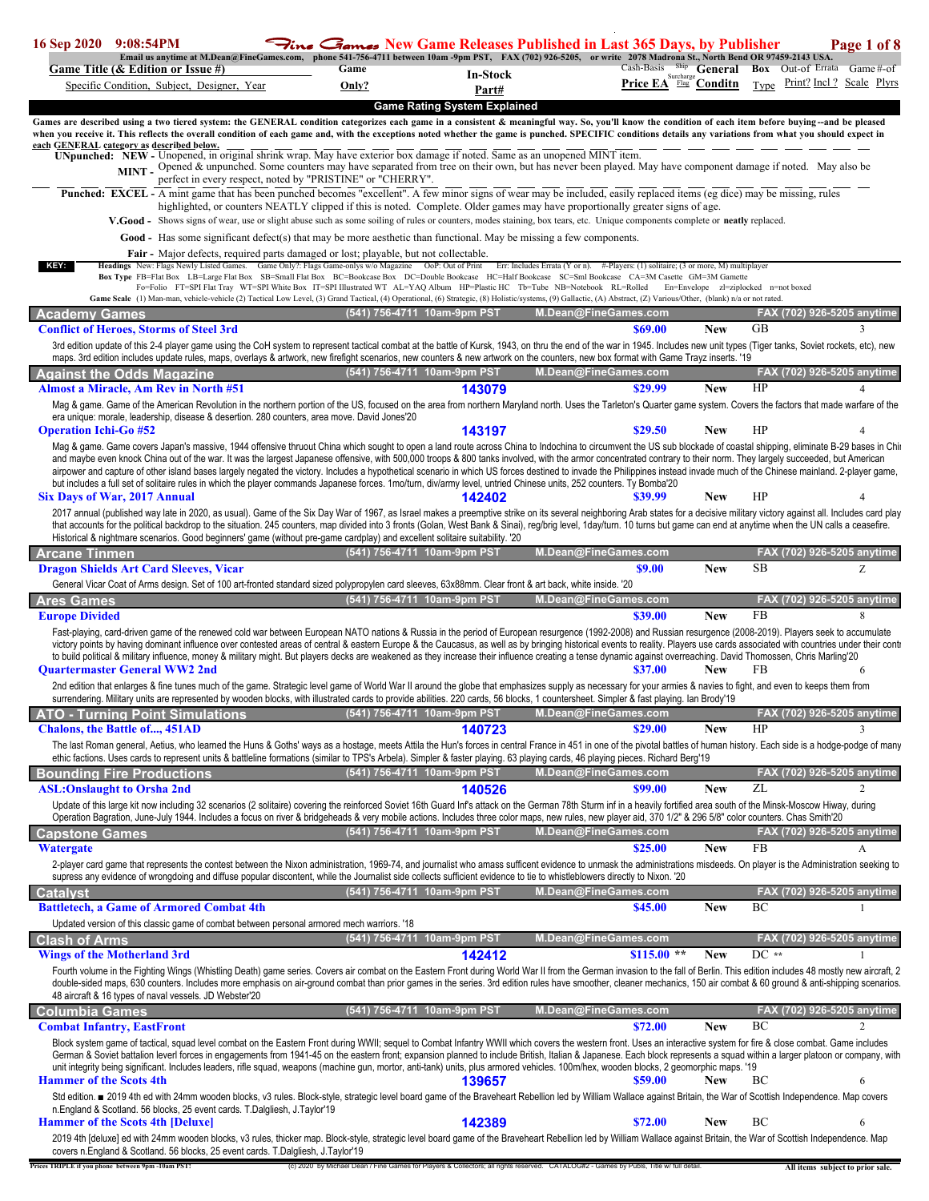| 16 Sep 2020                                                         | 9:08:54PM |                                                        |                                                                                  |                                                                                                                             |                                     |                   | $\Xi_{\text{line}}$ $\Xi_{\text{ames}}$ New Game Releases Published in Last 365 Days, by Publisher                                                                                                                                                                                                                                                                                                                                                                                                                                                                                                                                                                                                                                                                                                                                                                                                                                                                                                                                                                                                                                                                                                                                                                                                                                   |                                                    |                          |           |                                  | Page 1 of 8                   |
|---------------------------------------------------------------------|-----------|--------------------------------------------------------|----------------------------------------------------------------------------------|-----------------------------------------------------------------------------------------------------------------------------|-------------------------------------|-------------------|--------------------------------------------------------------------------------------------------------------------------------------------------------------------------------------------------------------------------------------------------------------------------------------------------------------------------------------------------------------------------------------------------------------------------------------------------------------------------------------------------------------------------------------------------------------------------------------------------------------------------------------------------------------------------------------------------------------------------------------------------------------------------------------------------------------------------------------------------------------------------------------------------------------------------------------------------------------------------------------------------------------------------------------------------------------------------------------------------------------------------------------------------------------------------------------------------------------------------------------------------------------------------------------------------------------------------------------|----------------------------------------------------|--------------------------|-----------|----------------------------------|-------------------------------|
|                                                                     |           | Game Title (& Edition or Issue #)                      |                                                                                  | Game                                                                                                                        |                                     |                   | Email us anytime at M.Dean@FineGames.com, phone 541-756-4711 between 10am -9pm PST, FAX (702) 926-5205, or write 2078 Madrona St., North Bend OR 97459-2143 USA.                                                                                                                                                                                                                                                                                                                                                                                                                                                                                                                                                                                                                                                                                                                                                                                                                                                                                                                                                                                                                                                                                                                                                                     | Cash-Basis Ship General Box Out-of Errata Game#-of |                          |           |                                  |                               |
|                                                                     |           | Specific Condition, Subject, Designer, Year            |                                                                                  | Only?                                                                                                                       |                                     | In-Stock<br>Part# |                                                                                                                                                                                                                                                                                                                                                                                                                                                                                                                                                                                                                                                                                                                                                                                                                                                                                                                                                                                                                                                                                                                                                                                                                                                                                                                                      | Price EA <sup>Surcharge</sup> Conditn              |                          |           |                                  | Type Print? Incl? Scale Plyrs |
|                                                                     |           |                                                        |                                                                                  |                                                                                                                             |                                     |                   |                                                                                                                                                                                                                                                                                                                                                                                                                                                                                                                                                                                                                                                                                                                                                                                                                                                                                                                                                                                                                                                                                                                                                                                                                                                                                                                                      |                                                    |                          |           |                                  |                               |
| each GENERAL category as described below.                           |           |                                                        |                                                                                  | perfect in every respect, noted by "PRISTINE" or "CHERRY".                                                                  | <b>Game Rating System Explained</b> |                   | Games are described using a two tiered system: the GENERAL condition categorizes each game in a consistent & meaningful way. So, you'll know the condition of each item before buying-and be pleased<br>when you receive it. This reflects the overall condition of each game and, with the exceptions noted whether the game is punched. SPECIFIC conditions details any variations from what you should expect in<br>UNpunched: NEW - Unopened, in original shrink wrap. May have exterior box damage if noted. Same as an unopened MINT item.<br>MINT - Opened & unpunched. Some counters may have separated from tree on their own, but has never been played. May have component damage if noted. May also be<br>Punched: EXCEL - A mint game that has been punched becomes "excellent". A few minor signs of wear may be included, easily replaced items (eg dice) may be missing, rules<br>highlighted, or counters NEATLY clipped if this is noted. Complete. Older games may have proportionally greater signs of age.<br>V.Good - Shows signs of wear, use or slight abuse such as some soiling of rules or counters, modes staining, box tears, etc. Unique components complete or neatly replaced.<br>Good - Has some significant defect(s) that may be more aesthetic than functional. May be missing a few components. |                                                    |                          |           |                                  |                               |
|                                                                     |           |                                                        |                                                                                  | <b>Fair</b> - Major defects, required parts damaged or lost; playable, but not collectable.                                 |                                     |                   |                                                                                                                                                                                                                                                                                                                                                                                                                                                                                                                                                                                                                                                                                                                                                                                                                                                                                                                                                                                                                                                                                                                                                                                                                                                                                                                                      |                                                    |                          |           |                                  |                               |
| KEY:                                                                |           |                                                        |                                                                                  |                                                                                                                             |                                     |                   | Headings New: Flags Newly Listed Games. Game Only?: Flags Game-onlys w/o Magazine OoP: Out of Print Err: Includes Errata (Y or n). #-Players: (1) solitaire; (3 or more, M) multiplayer<br>Box Type FB=Flat Box LB=Large Flat Box SB=Small Flat Box BC=Bookcase Box DC=Double Bookcase HC=Half Bookcase SC=Sml Bookcase CA=3M Casette GM=3M Gamette<br>Fo=Folio FT=SPI Flat Tray WT=SPI White Box IT=SPI Illustrated WT AL=YAQ Album HP=Plastic HC Tb=Tube NB=Notebook RL=Rolled En=Envelope zl=ziplocked n=not boxed<br>Game Scale (1) Man-man, vehicle-vehicle (2) Tactical Low Level, (3) Grand Tactical, (4) Operational, (6) Strategic, (8) Holistic/systems, (9) Gallactic, (A) Abstract, (Z) Various/Other, (blank) n/a or not rated.                                                                                                                                                                                                                                                                                                                                                                                                                                                                                                                                                                                         |                                                    |                          |           |                                  |                               |
| Academv Games                                                       |           |                                                        |                                                                                  |                                                                                                                             | (541) 756-4711 10am-9pm PST         |                   | M.Dean@FineGames.com                                                                                                                                                                                                                                                                                                                                                                                                                                                                                                                                                                                                                                                                                                                                                                                                                                                                                                                                                                                                                                                                                                                                                                                                                                                                                                                 |                                                    |                          |           |                                  | FAX (702) 926-5205 anytime    |
|                                                                     |           | <b>Conflict of Heroes, Storms of Steel 3rd</b>         |                                                                                  |                                                                                                                             |                                     |                   |                                                                                                                                                                                                                                                                                                                                                                                                                                                                                                                                                                                                                                                                                                                                                                                                                                                                                                                                                                                                                                                                                                                                                                                                                                                                                                                                      | \$69.00                                            | <b>New</b>               | <b>GB</b> |                                  | 3                             |
|                                                                     |           |                                                        |                                                                                  |                                                                                                                             |                                     |                   | 3rd edition update of this 2-4 player game using the CoH system to represent tactical combat at the battle of Kursk, 1943, on thru the end of the war in 1945. Includes new unit types (Tiger tanks, Soviet rockets, etc), new<br>maps. 3rd edition includes update rules, maps, overlays & artwork, new firefight scenarios, new counters & new artwork on the counters, new box format with Game Trayz inserts. '19                                                                                                                                                                                                                                                                                                                                                                                                                                                                                                                                                                                                                                                                                                                                                                                                                                                                                                                |                                                    |                          |           |                                  |                               |
| <b>Against the Odds Magazine</b>                                    |           |                                                        |                                                                                  |                                                                                                                             | (541) 756-4711 10am-9pm PST         |                   | M.Dean@FineGames.com                                                                                                                                                                                                                                                                                                                                                                                                                                                                                                                                                                                                                                                                                                                                                                                                                                                                                                                                                                                                                                                                                                                                                                                                                                                                                                                 |                                                    |                          |           |                                  | FAX (702) 926-5205 anytime    |
|                                                                     |           | <b>Almost a Miracle, Am Rev in North #51</b>           |                                                                                  | era unique: morale, leadership, disease & desertion. 280 counters, area move. David Jones'20                                |                                     | 143079            | Mag & game. Game of the American Revolution in the northern portion of the US, focused on the area from northern Maryland north. Uses the Tarleton's Quarter game system. Covers the factors that made warfare of the                                                                                                                                                                                                                                                                                                                                                                                                                                                                                                                                                                                                                                                                                                                                                                                                                                                                                                                                                                                                                                                                                                                | \$29.99                                            | <b>New</b>               | HP        |                                  |                               |
| <b>Operation Ichi-Go #52</b>                                        |           |                                                        |                                                                                  |                                                                                                                             |                                     | 143197            | Mag & game. Game covers Japan's massive, 1944 offensive thruout China which sought to open a land route across China to Indochina to circumvent the US sub blockade of coastal shipping, eliminate B-29 bases in Chi<br>and maybe even knock China out of the war. It was the largest Japanese offensive, with 500,000 troops & 800 tanks involved, with the armor concentrated contrary to their norm. They largely succeeded, but American<br>airpower and capture of other island bases largely negated the victory. Includes a hypothetical scenario in which US forces destined to invade the Philippines instead invade much of the Chinese mainland. 2-player game,<br>but includes a full set of solitaire rules in which the player commands Japanese forces. 1mo/turn, div/army level, untried Chinese units, 252 counters. Ty Bomba'20                                                                                                                                                                                                                                                                                                                                                                                                                                                                                    | \$29.50                                            | <b>New</b>               | HP        |                                  |                               |
| Six Days of War, 2017 Annual                                        |           |                                                        |                                                                                  |                                                                                                                             |                                     | 142402            |                                                                                                                                                                                                                                                                                                                                                                                                                                                                                                                                                                                                                                                                                                                                                                                                                                                                                                                                                                                                                                                                                                                                                                                                                                                                                                                                      | \$39.99                                            | <b>New</b>               | HP        |                                  |                               |
|                                                                     |           |                                                        |                                                                                  | Historical & nightmare scenarios. Good beginners' game (without pre-game cardplay) and excellent solitaire suitability. '20 |                                     |                   | 2017 annual (published way late in 2020, as usual). Game of the Six Day War of 1967, as Israel makes a preemptive strike on its several neighboring Arab states for a decisive military victory against all. Includes card pla<br>that accounts for the political backdrop to the situation. 245 counters, map divided into 3 fronts (Golan, West Bank & Sinai), reg/brig level, 1day/turn. 10 turns but game can end at anytime when the UN calls a ceasefire.                                                                                                                                                                                                                                                                                                                                                                                                                                                                                                                                                                                                                                                                                                                                                                                                                                                                      |                                                    |                          |           |                                  |                               |
| <b>Arcane Tinmen</b>                                                |           |                                                        |                                                                                  |                                                                                                                             | (541) 756-4711 10am-9pm PST         |                   | M.Dean@FineGames.com                                                                                                                                                                                                                                                                                                                                                                                                                                                                                                                                                                                                                                                                                                                                                                                                                                                                                                                                                                                                                                                                                                                                                                                                                                                                                                                 |                                                    |                          |           |                                  | FAX (702) 926-5205 anytime    |
|                                                                     |           | <b>Dragon Shields Art Card Sleeves, Vicar</b>          |                                                                                  |                                                                                                                             |                                     |                   | General Vicar Coat of Arms design. Set of 100 art-fronted standard sized polypropylen card sleeves, 63x88mm. Clear front & art back, white inside. '20                                                                                                                                                                                                                                                                                                                                                                                                                                                                                                                                                                                                                                                                                                                                                                                                                                                                                                                                                                                                                                                                                                                                                                               | \$9.00                                             | <b>New</b>               | <b>SB</b> |                                  | Z                             |
| <b>Ares Games</b>                                                   |           |                                                        |                                                                                  |                                                                                                                             | (541) 756-4711 10am-9pm PST         |                   | M.Dean@FineGames.com                                                                                                                                                                                                                                                                                                                                                                                                                                                                                                                                                                                                                                                                                                                                                                                                                                                                                                                                                                                                                                                                                                                                                                                                                                                                                                                 |                                                    |                          |           |                                  | FAX (702) 926-5205 anytime    |
| <b>Europe Divided</b>                                               |           |                                                        |                                                                                  |                                                                                                                             |                                     |                   |                                                                                                                                                                                                                                                                                                                                                                                                                                                                                                                                                                                                                                                                                                                                                                                                                                                                                                                                                                                                                                                                                                                                                                                                                                                                                                                                      | \$39.00                                            | <b>New</b>               | <b>FB</b> |                                  | 8                             |
| <b>Quartermaster General WW2 2nd</b>                                |           |                                                        |                                                                                  |                                                                                                                             |                                     |                   | Fast-playing, card-driven game of the renewed cold war between European NATO nations & Russia in the period of European resurgence (1992-2008) and Russian resurgence (2008-2019). Players seek to accumulate<br>victory points by having dominant influence over contested areas of central & eastern Europe & the Caucasus, as well as by bringing historical events to reality. Players use cards associated with countries under their cont<br>to build political & military influence, money & military might. But players decks are weakened as they increase their influence creating a tense dynamic against overreaching. David Thomossen, Chris Marling'20<br>2nd edition that enlarges & fine tunes much of the game. Strategic level game of World War II around the globe that emphasizes supply as necessary for your armies & navies to fight, and even to keeps them from<br>surrendering. Military units are represented by wooden blocks, with illustrated cards to provide abilities. 220 cards, 56 blocks, 1 countersheet. Simpler & fast playing. Ian Brody'19                                                                                                                                                                                                                                                  | \$37.00                                            | <b>New</b>               | FB        |                                  | 6                             |
| <b>ATO - Turning Point Simulations</b>                              |           |                                                        |                                                                                  |                                                                                                                             | (541) 756-4711 10am-9pm PST         |                   | M.Dean@FineGames.com                                                                                                                                                                                                                                                                                                                                                                                                                                                                                                                                                                                                                                                                                                                                                                                                                                                                                                                                                                                                                                                                                                                                                                                                                                                                                                                 |                                                    |                          |           |                                  | FAX (702) 926-5205 anytime    |
| <b>Chalons, the Battle of, 451AD</b>                                |           |                                                        |                                                                                  |                                                                                                                             |                                     | 140723            |                                                                                                                                                                                                                                                                                                                                                                                                                                                                                                                                                                                                                                                                                                                                                                                                                                                                                                                                                                                                                                                                                                                                                                                                                                                                                                                                      | \$29.00                                            | <b>New</b>               | HP        |                                  | $\overline{3}$                |
|                                                                     |           |                                                        |                                                                                  |                                                                                                                             |                                     |                   | The last Roman general, Aetius, who learned the Huns & Goths' ways as a hostage, meets Attila the Hun's forces in central France in 451 in one of the pivotal battles of human history. Each side is a hodge-podge of many<br>ethic factions. Uses cards to represent units & battleline formations (similar to TPS's Arbela). Simpler & faster playing. 63 playing cards, 46 playing pieces. Richard Berg'19                                                                                                                                                                                                                                                                                                                                                                                                                                                                                                                                                                                                                                                                                                                                                                                                                                                                                                                        |                                                    |                          |           |                                  |                               |
| <b>Bounding Fire Productions</b>                                    |           |                                                        |                                                                                  |                                                                                                                             | (541) 756-4711 10am-9pm PST         |                   | M.Dean@FineGames.com                                                                                                                                                                                                                                                                                                                                                                                                                                                                                                                                                                                                                                                                                                                                                                                                                                                                                                                                                                                                                                                                                                                                                                                                                                                                                                                 |                                                    |                          |           |                                  | FAX (702) 926-5205 anytime    |
| <b>ASL:Onslaught to Orsha 2nd</b>                                   |           |                                                        |                                                                                  |                                                                                                                             |                                     | 140526            |                                                                                                                                                                                                                                                                                                                                                                                                                                                                                                                                                                                                                                                                                                                                                                                                                                                                                                                                                                                                                                                                                                                                                                                                                                                                                                                                      | \$99.00                                            | <b>New</b>               | ZL        |                                  | 2                             |
|                                                                     |           |                                                        |                                                                                  |                                                                                                                             |                                     |                   | Update of this large kit now including 32 scenarios (2 solitaire) covering the reinforced Soviet 16th Guard Inf's attack on the German 78th Sturm inf in a heavily fortified area south of the Minsk-Moscow Hiway, during<br>Operation Bagration, June-July 1944. Includes a focus on river & bridgeheads & very mobile actions. Includes three color maps, new rules, new player aid, 370 1/2" & 296 5/8" color counters. Chas Smith'20                                                                                                                                                                                                                                                                                                                                                                                                                                                                                                                                                                                                                                                                                                                                                                                                                                                                                             |                                                    |                          |           |                                  |                               |
| <b>Capstone Games</b>                                               |           |                                                        |                                                                                  |                                                                                                                             | (541) 756-4711 10am-9pm PST         |                   | M.Dean@FineGames.com                                                                                                                                                                                                                                                                                                                                                                                                                                                                                                                                                                                                                                                                                                                                                                                                                                                                                                                                                                                                                                                                                                                                                                                                                                                                                                                 |                                                    |                          |           |                                  | FAX (702) 926-5205 anytime    |
| <b>Watergate</b>                                                    |           |                                                        |                                                                                  |                                                                                                                             |                                     |                   |                                                                                                                                                                                                                                                                                                                                                                                                                                                                                                                                                                                                                                                                                                                                                                                                                                                                                                                                                                                                                                                                                                                                                                                                                                                                                                                                      | \$25.00                                            | <b>New</b>               | FB        |                                  | A                             |
|                                                                     |           |                                                        |                                                                                  |                                                                                                                             |                                     |                   | 2-player card game that represents the contest between the Nixon administration, 1969-74, and journalist who amass sufficent evidence to unmask the administrations misdeeds. On player is the Administration seeking to<br>supress any evidence of wrongdoing and diffuse popular discontent, while the Journalist side collects sufficient evidence to tie to whistleblowers directly to Nixon. '20                                                                                                                                                                                                                                                                                                                                                                                                                                                                                                                                                                                                                                                                                                                                                                                                                                                                                                                                |                                                    |                          |           |                                  |                               |
| Catalvst                                                            |           |                                                        |                                                                                  |                                                                                                                             | (541) 756-4711 10am-9pm PST         |                   | M.Dean@FineGames.com                                                                                                                                                                                                                                                                                                                                                                                                                                                                                                                                                                                                                                                                                                                                                                                                                                                                                                                                                                                                                                                                                                                                                                                                                                                                                                                 |                                                    |                          |           |                                  | FAX (702) 926-5205 anytime    |
|                                                                     |           | <b>Battletech, a Game of Armored Combat 4th</b>        |                                                                                  | Updated version of this classic game of combat between personal armored mech warriors. '18                                  |                                     |                   |                                                                                                                                                                                                                                                                                                                                                                                                                                                                                                                                                                                                                                                                                                                                                                                                                                                                                                                                                                                                                                                                                                                                                                                                                                                                                                                                      | \$45.00                                            | <b>New</b>               | BC        |                                  |                               |
| <b>Clash of Arms</b>                                                |           |                                                        |                                                                                  |                                                                                                                             | (541) 756-4711 10am-9pm PST         |                   | M.Dean@FineGames.com                                                                                                                                                                                                                                                                                                                                                                                                                                                                                                                                                                                                                                                                                                                                                                                                                                                                                                                                                                                                                                                                                                                                                                                                                                                                                                                 |                                                    |                          |           |                                  | FAX (702) 926-5205 anytime    |
| <b>Wings of the Motherland 3rd</b>                                  |           |                                                        |                                                                                  |                                                                                                                             |                                     | 142412            |                                                                                                                                                                                                                                                                                                                                                                                                                                                                                                                                                                                                                                                                                                                                                                                                                                                                                                                                                                                                                                                                                                                                                                                                                                                                                                                                      | $$115.00**$                                        | <b>New</b>               | $DC**$    |                                  |                               |
|                                                                     |           | 48 aircraft & 16 types of naval vessels. JD Webster'20 |                                                                                  |                                                                                                                             |                                     |                   | Fourth volume in the Fighting Wings (Whistling Death) game series. Covers air combat on the Eastern Front during World War II from the German invasion to the fall of Berlin. This edition includes 48 mostly new aircraft, 2<br>double-sided maps, 630 counters. Includes more emphasis on air-ground combat than prior games in the series. 3rd edition rules have smoother, cleaner mechanics, 150 air combat & 60 ground & anti-shipping scenarios.                                                                                                                                                                                                                                                                                                                                                                                                                                                                                                                                                                                                                                                                                                                                                                                                                                                                              |                                                    |                          |           |                                  |                               |
| <b>Columbia Games</b>                                               |           |                                                        |                                                                                  |                                                                                                                             | (541) 756-4711 10am-9pm PST         |                   | M.Dean@FineGames.com                                                                                                                                                                                                                                                                                                                                                                                                                                                                                                                                                                                                                                                                                                                                                                                                                                                                                                                                                                                                                                                                                                                                                                                                                                                                                                                 |                                                    |                          |           |                                  | FAX (702) 926-5205 anytime    |
| <b>Combat Infantry, EastFront</b><br><b>Hammer of the Scots 4th</b> |           |                                                        |                                                                                  |                                                                                                                             |                                     | 139657            | Block system game of tactical, squad level combat on the Eastern Front during WWII; sequel to Combat Infantry WWII which covers the westem front. Uses an interactive system for fire & close combat. Game includes<br>German & Soviet battalion leverl forces in engagements from 1941-45 on the eastern front; expansion planned to include British, Italian & Japanese. Each block represents a squad within a larger platoon or company, with<br>unit integrity being significant. Includes leaders, rifle squad, weapons (machine gun, mortor, anti-tank) units, plus armored vehicles. 100m/hex, wooden blocks, 2 geomorphic maps. '19<br>Std edition. ■ 2019 4th ed with 24mm wooden blocks, v3 rules. Block-style, strategic level board game of the Braveheart Rebellion led by William Wallace against Britain, the War of Scottish Independence. Map covers                                                                                                                                                                                                                                                                                                                                                                                                                                                               | \$72.00<br>\$59.00                                 | <b>New</b><br><b>New</b> | BC<br>ВC  |                                  | $\mathfrak{D}$<br>6           |
|                                                                     |           |                                                        | n.England & Scotland. 56 blocks, 25 event cards. T.Dalgliesh, J.Taylor'19        |                                                                                                                             |                                     |                   |                                                                                                                                                                                                                                                                                                                                                                                                                                                                                                                                                                                                                                                                                                                                                                                                                                                                                                                                                                                                                                                                                                                                                                                                                                                                                                                                      |                                                    |                          |           |                                  |                               |
| <b>Hammer of the Scots 4th [Deluxe]</b>                             |           |                                                        |                                                                                  |                                                                                                                             |                                     | 142389            | 2019 4th [deluxe] ed with 24mm wooden blocks, v3 rules, thicker map. Block-style, strategic level board game of the Braveheart Rebellion led by William Wallace against Britain, the War of Scottish Independence. Map                                                                                                                                                                                                                                                                                                                                                                                                                                                                                                                                                                                                                                                                                                                                                                                                                                                                                                                                                                                                                                                                                                               | \$72.00                                            | <b>New</b>               | BC        |                                  | 6                             |
| Prices TRIPLE if you phone between 9pm -10am PST!                   |           |                                                        | covers n.England & Scotland. 56 blocks, 25 event cards. T.Dalgliesh, J.Taylor'19 |                                                                                                                             |                                     |                   | (c) 2020 by Michael Dean / Fine Games for Players & Collectors; all rights reserved. CATALOG#2 - Games by Publs, Title w/ full deta                                                                                                                                                                                                                                                                                                                                                                                                                                                                                                                                                                                                                                                                                                                                                                                                                                                                                                                                                                                                                                                                                                                                                                                                  |                                                    |                          |           | All items subject to prior sale. |                               |
|                                                                     |           |                                                        |                                                                                  |                                                                                                                             |                                     |                   |                                                                                                                                                                                                                                                                                                                                                                                                                                                                                                                                                                                                                                                                                                                                                                                                                                                                                                                                                                                                                                                                                                                                                                                                                                                                                                                                      |                                                    |                          |           |                                  |                               |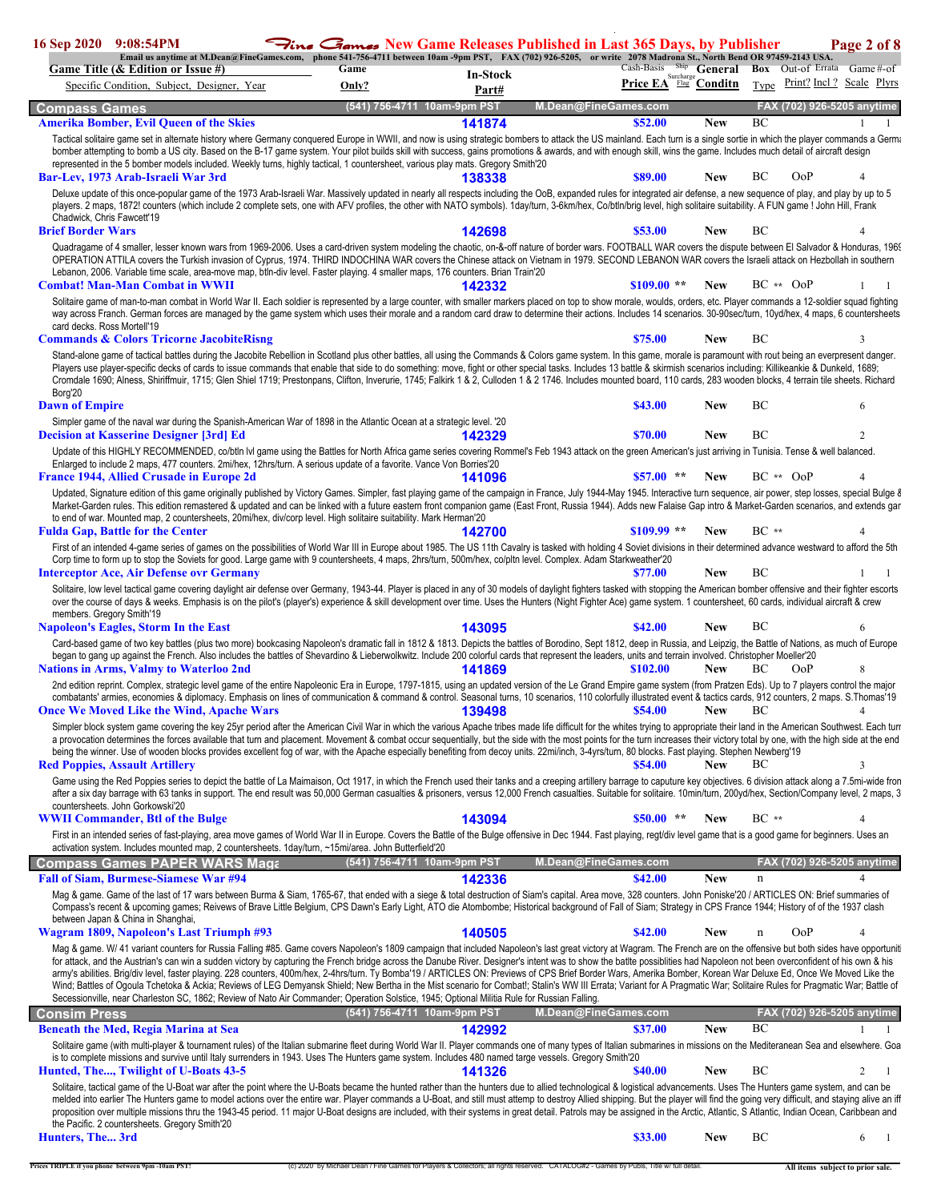| 16 Sep 2020 9:08:54PM       |                                                                                                                                                                                                                                                                                                                                                                                                                                                                                                                                                                                                                                                                                                                                                                                                                                                                                                                                                                                                                                                     | $\bigtriangledown_{\mathcal{C}}$ $\bigtriangleup_{\mathcal{A}}$ $\bigtriangleup_{\mathcal{A}}$ New Game Releases Published in Last 365 Davs, by Publisher |                             |                          |                      |                         |                   |                                   | Page 2 of 8              |
|-----------------------------|-----------------------------------------------------------------------------------------------------------------------------------------------------------------------------------------------------------------------------------------------------------------------------------------------------------------------------------------------------------------------------------------------------------------------------------------------------------------------------------------------------------------------------------------------------------------------------------------------------------------------------------------------------------------------------------------------------------------------------------------------------------------------------------------------------------------------------------------------------------------------------------------------------------------------------------------------------------------------------------------------------------------------------------------------------|-----------------------------------------------------------------------------------------------------------------------------------------------------------|-----------------------------|--------------------------|----------------------|-------------------------|-------------------|-----------------------------------|--------------------------|
|                             | Email us anytime at M.Dean@FineGames.com, phone 541-756-4711 between 10am -9pm PST, FAX (702) 926-5205, or write 2078 Madrona St., North Bend OR 97459-2143 USA.<br>Game Title (& Edition or Issue #)                                                                                                                                                                                                                                                                                                                                                                                                                                                                                                                                                                                                                                                                                                                                                                                                                                               | Game                                                                                                                                                      |                             |                          |                      | Cash-Basis Ship General |                   | <b>Box</b> Out-of Errata Game#-of |                          |
|                             | Specific Condition, Subject, Designer, Year                                                                                                                                                                                                                                                                                                                                                                                                                                                                                                                                                                                                                                                                                                                                                                                                                                                                                                                                                                                                         | Only?                                                                                                                                                     |                             | <b>In-Stock</b><br>Part# |                      | Price EA                | Surcharge Conditn | Type                              | Print? Incl? Scale Plyrs |
| <b>Compass Games</b>        |                                                                                                                                                                                                                                                                                                                                                                                                                                                                                                                                                                                                                                                                                                                                                                                                                                                                                                                                                                                                                                                     |                                                                                                                                                           | (541) 756-4711 10am-9pm PST |                          | M.Dean@FineGames.com |                         |                   | FAX (702) 926-5205 anytime        |                          |
|                             | <b>Amerika Bomber, Evil Queen of the Skies</b>                                                                                                                                                                                                                                                                                                                                                                                                                                                                                                                                                                                                                                                                                                                                                                                                                                                                                                                                                                                                      |                                                                                                                                                           |                             | 141874                   |                      | \$52.00                 | <b>New</b>        | BC                                |                          |
|                             | Tactical solitaire game set in alternate history where Germany conquered Europe in WWII, and now is using strategic bombers to attack the US mainland. Each turn is a single sortie in which the player commands a Germa                                                                                                                                                                                                                                                                                                                                                                                                                                                                                                                                                                                                                                                                                                                                                                                                                            |                                                                                                                                                           |                             |                          |                      |                         |                   |                                   |                          |
|                             | bomber attempting to bomb a US city. Based on the B-17 game system. Your pilot builds skill with success, gains promotions & awards, and with enough skill, wins the game. Includes much detail of aircraft design                                                                                                                                                                                                                                                                                                                                                                                                                                                                                                                                                                                                                                                                                                                                                                                                                                  |                                                                                                                                                           |                             |                          |                      |                         |                   |                                   |                          |
|                             | represented in the 5 bomber models included. Weekly turns, highly tactical, 1 countersheet, various play mats. Gregory Smith'20<br>Bar-Lev, 1973 Arab-Israeli War 3rd                                                                                                                                                                                                                                                                                                                                                                                                                                                                                                                                                                                                                                                                                                                                                                                                                                                                               |                                                                                                                                                           |                             | 138338                   |                      | \$89.00                 | New               | BС<br>OoP                         |                          |
|                             | Deluxe update of this once-popular game of the 1973 Arab-Israeli War. Massively updated in nearly all respects including the OoB, expanded rules for integrated air defense, a new sequence of play, and play by up to 5                                                                                                                                                                                                                                                                                                                                                                                                                                                                                                                                                                                                                                                                                                                                                                                                                            |                                                                                                                                                           |                             |                          |                      |                         |                   |                                   |                          |
|                             | players. 2 maps, 1872! counters (which include 2 complete sets, one with AFV profiles, the other with NATO symbols). 1day/turn, 3-6km/hex, Co/btln/brig level, high solitaire suitability. A FUN game ! John Hill, Frank                                                                                                                                                                                                                                                                                                                                                                                                                                                                                                                                                                                                                                                                                                                                                                                                                            |                                                                                                                                                           |                             |                          |                      |                         |                   |                                   |                          |
| Chadwick, Chris Fawcett'19  |                                                                                                                                                                                                                                                                                                                                                                                                                                                                                                                                                                                                                                                                                                                                                                                                                                                                                                                                                                                                                                                     |                                                                                                                                                           |                             |                          |                      |                         |                   |                                   |                          |
| <b>Brief Border Wars</b>    |                                                                                                                                                                                                                                                                                                                                                                                                                                                                                                                                                                                                                                                                                                                                                                                                                                                                                                                                                                                                                                                     |                                                                                                                                                           |                             | 142698                   |                      | \$53.00                 | New               | BC                                |                          |
|                             | Quadragame of 4 smaller, lesser known wars from 1969-2006. Uses a card-driven system modeling the chaotic, on-&-off nature of border wars. FOOTBALL WAR covers the dispute between El Salvador & Honduras, 1969<br>OPERATION ATTILA covers the Turkish invasion of Cyprus, 1974. THIRD INDOCHINA WAR covers the Chinese attack on Vietnam in 1979. SECOND LEBANON WAR covers the Israeli attack on Hezbollah in southern                                                                                                                                                                                                                                                                                                                                                                                                                                                                                                                                                                                                                            |                                                                                                                                                           |                             |                          |                      |                         |                   |                                   |                          |
|                             | Lebanon, 2006. Variable time scale, area-move map, btln-div level. Faster playing. 4 smaller maps, 176 counters. Brian Train'20                                                                                                                                                                                                                                                                                                                                                                                                                                                                                                                                                                                                                                                                                                                                                                                                                                                                                                                     |                                                                                                                                                           |                             |                          |                      |                         |                   |                                   |                          |
|                             | <b>Combat! Man-Man Combat in WWII</b>                                                                                                                                                                                                                                                                                                                                                                                                                                                                                                                                                                                                                                                                                                                                                                                                                                                                                                                                                                                                               |                                                                                                                                                           |                             | 142332                   |                      | $$109.00**$             | <b>New</b>        | $BC \rightarrow \qquad OoP$       |                          |
| card decks. Ross Mortell'19 | Solitaire game of man-to-man combat in World War II. Each soldier is represented by a large counter, with smaller markers placed on top to show morale, woulds, orders, etc. Player commands a 12-soldier squad fighting<br>way across Franch. German forces are managed by the game system which uses their morale and a random card draw to determine their actions. Includes 14 scenarios. 30-90sec/turn, 10yd/hex, 4 maps, 6 countersheets                                                                                                                                                                                                                                                                                                                                                                                                                                                                                                                                                                                                      |                                                                                                                                                           |                             |                          |                      |                         |                   |                                   |                          |
|                             | <b>Commands &amp; Colors Tricorne JacobiteRisng</b>                                                                                                                                                                                                                                                                                                                                                                                                                                                                                                                                                                                                                                                                                                                                                                                                                                                                                                                                                                                                 |                                                                                                                                                           |                             |                          |                      | \$75.00                 | New               | BC                                | 3                        |
| Borg'20                     | Stand-alone game of tactical battles during the Jacobite Rebellion in Scotland plus other battles, all using the Commands & Colors game system. In this game, morale is paramount with rout being an everpresent danger.<br>Players use player-specific decks of cards to issue commands that enable that side to do something: move, fight or other special tasks. Includes 13 battle & skirmish scenarios including: Killikeankie & Dunkeld, 1689;<br>Cromdale 1690; Alness, Shiriffmuir, 1715; Glen Shiel 1719; Prestonpans, Clifton, Inverurie, 1745; Falkirk 1 & 2, Culloden 1 & 2 1746. Includes mounted board, 110 cards, 283 wooden blocks, 4 terrain tile sheets. Richard                                                                                                                                                                                                                                                                                                                                                                  |                                                                                                                                                           |                             |                          |                      |                         |                   |                                   |                          |
| <b>Dawn of Empire</b>       |                                                                                                                                                                                                                                                                                                                                                                                                                                                                                                                                                                                                                                                                                                                                                                                                                                                                                                                                                                                                                                                     |                                                                                                                                                           |                             |                          |                      | \$43.00                 | <b>New</b>        | BC                                | 6                        |
|                             | Simpler game of the naval war during the Spanish-American War of 1898 in the Atlantic Ocean at a strategic level. '20                                                                                                                                                                                                                                                                                                                                                                                                                                                                                                                                                                                                                                                                                                                                                                                                                                                                                                                               |                                                                                                                                                           |                             |                          |                      |                         |                   |                                   |                          |
|                             | <b>Decision at Kasserine Designer [3rd] Ed</b>                                                                                                                                                                                                                                                                                                                                                                                                                                                                                                                                                                                                                                                                                                                                                                                                                                                                                                                                                                                                      |                                                                                                                                                           |                             | 142329                   |                      | \$70.00                 | <b>New</b>        | BC                                | 2                        |
|                             | Update of this HIGHLY RECOMMENDED, co/btln IvI game using the Battles for North Africa game series covering Rommel's Feb 1943 attack on the green American's just arriving in Tunisia. Tense & well balanced.<br>Enlarged to include 2 maps, 477 counters. 2mi/hex, 12hrs/turn. A serious update of a favorite. Vance Von Borries'20                                                                                                                                                                                                                                                                                                                                                                                                                                                                                                                                                                                                                                                                                                                |                                                                                                                                                           |                             |                          |                      |                         |                   |                                   |                          |
|                             | <b>France 1944, Allied Crusade in Europe 2d</b>                                                                                                                                                                                                                                                                                                                                                                                                                                                                                                                                                                                                                                                                                                                                                                                                                                                                                                                                                                                                     |                                                                                                                                                           |                             | 141096                   |                      | \$57.00<br>**           | <b>New</b>        | $BC \rightarrow \qquad OoP$       |                          |
|                             | Updated, Signature edition of this game originally published by Victory Games. Simpler, fast playing game of the campaign in France, July 1944-May 1945. Interactive turn sequence, air power, step losses, special Bulge &<br>Market-Garden rules. This edition remastered & updated and can be linked with a future eastern front companion game (East Front, Russia 1944). Adds new Falaise Gap intro & Market-Garden scenarios, and extends gar<br>to end of war. Mounted map, 2 countersheets, 20mi/hex, div/corp level. High solitaire suitability. Mark Herman'20                                                                                                                                                                                                                                                                                                                                                                                                                                                                            |                                                                                                                                                           |                             |                          |                      |                         |                   |                                   |                          |
|                             | <b>Fulda Gap, Battle for the Center</b>                                                                                                                                                                                                                                                                                                                                                                                                                                                                                                                                                                                                                                                                                                                                                                                                                                                                                                                                                                                                             |                                                                                                                                                           |                             | 142700                   |                      | $$109.99$ **            | <b>New</b>        | $BC**$                            |                          |
|                             | First of an intended 4-game series of games on the possibilities of World War III in Europe about 1985. The US 11th Cavalry is tasked with holding 4 Soviet divisions in their determined advance westward to afford the 5th                                                                                                                                                                                                                                                                                                                                                                                                                                                                                                                                                                                                                                                                                                                                                                                                                        |                                                                                                                                                           |                             |                          |                      |                         |                   |                                   |                          |
|                             | Corp time to form up to stop the Soviets for good. Large game with 9 countersheets, 4 maps, 2hrs/turn, 500m/hex, co/pltn level. Complex. Adam Starkweather'20<br><b>Interceptor Ace, Air Defense ovr Germany</b>                                                                                                                                                                                                                                                                                                                                                                                                                                                                                                                                                                                                                                                                                                                                                                                                                                    |                                                                                                                                                           |                             |                          |                      | \$77.00                 | <b>New</b>        | BC                                |                          |
| members. Gregory Smith'19   | Solitaire, low level tactical game covering daylight air defense over Germany, 1943-44. Player is placed in any of 30 models of daylight fighters tasked with stopping the American bomber offensive and their fighter escorts<br>over the course of days & weeks. Emphasis is on the pilot's (player's) experience & skill development over time. Uses the Hunters (Night Fighter Ace) game system. 1 countersheet, 60 cards, individual aircraft & crew                                                                                                                                                                                                                                                                                                                                                                                                                                                                                                                                                                                           |                                                                                                                                                           |                             |                          |                      |                         |                   |                                   |                          |
|                             | <b>Napoleon's Eagles, Storm In the East</b>                                                                                                                                                                                                                                                                                                                                                                                                                                                                                                                                                                                                                                                                                                                                                                                                                                                                                                                                                                                                         |                                                                                                                                                           |                             | 143095                   |                      | \$42.00                 | <b>New</b>        | BC                                |                          |
|                             | Card-based game of two key battles (plus two more) bookcasing Napoleon's dramatic fall in 1812 & 1813. Depicts the battles of Borodino, Sept 1812, deep in Russia, and Leipzig, the Battle of Nations, as much of Europe<br>began to gang up against the French. Also includes the battles of Shevardino & Lieberwolkwitz. Include 200 colorful cards that represent the leaders, units and terrain involved. Christopher Moeller'20<br><b>Nations in Arms, Valmy to Waterloo 2nd</b>                                                                                                                                                                                                                                                                                                                                                                                                                                                                                                                                                               |                                                                                                                                                           |                             | 141869                   |                      | \$102.00                | <b>New</b>        | BС<br>OoP                         | 8                        |
|                             | 2nd edition reprint. Complex, strategic level game of the entire Napoleonic Era in Europe, 1797-1815, using an updated version of the Le Grand Empire game system (from Pratzen Eds). Up to 7 players control the major                                                                                                                                                                                                                                                                                                                                                                                                                                                                                                                                                                                                                                                                                                                                                                                                                             |                                                                                                                                                           |                             |                          |                      |                         |                   |                                   |                          |
|                             | combatants' armies, economies & diplomacy. Emphasis on lines of communication & command & control. Seasonal turns, 10 scenarios, 110 colorfully illustrated event & tactics cards, 912 counters, 2 maps. S. Thomas'19<br><b>Once We Moved Like the Wind, Apache Wars</b>                                                                                                                                                                                                                                                                                                                                                                                                                                                                                                                                                                                                                                                                                                                                                                            |                                                                                                                                                           |                             | 139498                   |                      | \$54.00                 | <b>New</b>        | BС                                | 4                        |
|                             | Simpler block system game covering the key 25yr period after the American Civil War in which the various Apache tribes made life difficult for the whites trying to appropriate their land in the American Southwest. Each tur<br>a provocation determines the forces available that turn and placement. Movement & combat occur sequentially, but the side with the most points for the turn increases their victory total by one, with the high side at the en<br>being the winner. Use of wooden blocks provides excellent fog of war, with the Apache especially benefiting from decoy units. 22mi/inch, 3-4yrs/turn, 80 blocks. Fast playing. Stephen Newberg'19<br><b>Red Poppies, Assault Artillery</b>                                                                                                                                                                                                                                                                                                                                      |                                                                                                                                                           |                             |                          |                      | \$54.00                 | New               | <b>BC</b>                         | 3                        |
|                             | Game using the Red Poppies series to depict the battle of La Maimaison, Oct 1917, in which the French used their tanks and a creeping artillery barrage to caputure key objectives. 6 division attack along a 7.5mi-wide fron                                                                                                                                                                                                                                                                                                                                                                                                                                                                                                                                                                                                                                                                                                                                                                                                                       |                                                                                                                                                           |                             |                          |                      |                         |                   |                                   |                          |
|                             | after a six day barrage with 63 tanks in support. The end result was 50,000 German casualties & prisoners, versus 12,000 French casualties. Suitable for solitaire. 10min/turn, 200yd/hex, Section/Company level, 2 maps, 3                                                                                                                                                                                                                                                                                                                                                                                                                                                                                                                                                                                                                                                                                                                                                                                                                         |                                                                                                                                                           |                             |                          |                      |                         |                   |                                   |                          |
|                             | countersheets. John Gorkowski'20<br><b>WWII Commander, Btl of the Bulge</b>                                                                                                                                                                                                                                                                                                                                                                                                                                                                                                                                                                                                                                                                                                                                                                                                                                                                                                                                                                         |                                                                                                                                                           |                             |                          |                      | \$50.00                 | <b>New</b>        | $BC**$                            | $\overline{4}$           |
|                             | First in an intended series of fast-playing, area move games of World War II in Europe. Covers the Battle of the Bulge offensive in Dec 1944. Fast playing, regt/div level game that is a good game for beginners. Uses an                                                                                                                                                                                                                                                                                                                                                                                                                                                                                                                                                                                                                                                                                                                                                                                                                          |                                                                                                                                                           |                             | 143094                   |                      |                         |                   |                                   |                          |
|                             | activation system. Includes mounted map, 2 countersheets. 1day/turn, ~15mi/area. John Butterfield'20                                                                                                                                                                                                                                                                                                                                                                                                                                                                                                                                                                                                                                                                                                                                                                                                                                                                                                                                                |                                                                                                                                                           |                             |                          |                      |                         |                   |                                   |                          |
|                             | <b>Compass Games PAPER WARS Magation</b>                                                                                                                                                                                                                                                                                                                                                                                                                                                                                                                                                                                                                                                                                                                                                                                                                                                                                                                                                                                                            |                                                                                                                                                           | (541) 756-4711 10am-9pm PST |                          | M.Dean@FineGames.com |                         |                   | FAX (702) 926-5205 anytime        |                          |
|                             | <b>Fall of Siam, Burmese-Siamese War #94</b>                                                                                                                                                                                                                                                                                                                                                                                                                                                                                                                                                                                                                                                                                                                                                                                                                                                                                                                                                                                                        |                                                                                                                                                           |                             | 142336                   |                      | \$42.00                 | <b>New</b>        | n                                 | $\overline{4}$           |
|                             | Mag & game. Game of the last of 17 wars between Burma & Siam, 1765-67, that ended with a siege & total destruction of Siam's capital. Area move, 328 counters. John Poniske'20 / ARTICLES ON: Brief summaries of<br>Compass's recent & upcoming games; Reivews of Brave Little Belgium, CPS Dawn's Early Light, ATO die Atombombe; Historical background of Fall of Siam; Strategy in CPS France 1944; History of of the 1937 clash<br>between Japan & China in Shanghai,                                                                                                                                                                                                                                                                                                                                                                                                                                                                                                                                                                           |                                                                                                                                                           |                             |                          |                      |                         |                   |                                   |                          |
|                             | Wagram 1809, Napoleon's Last Triumph #93                                                                                                                                                                                                                                                                                                                                                                                                                                                                                                                                                                                                                                                                                                                                                                                                                                                                                                                                                                                                            |                                                                                                                                                           |                             | 140505                   |                      | \$42.00                 | New               | <b>OoP</b>                        | 4                        |
|                             | Mag & game. W/ 41 variant counters for Russia Falling #85. Game covers Napoleon's 1809 campaign that included Napoleon's last great victory at Wagram. The French are on the offensive but both sides have opportunit<br>for attack, and the Austrian's can win a sudden victory by capturing the French bridge across the Danube River. Designer's intent was to show the battle possibities had Napoleon not been overconfident of his own & his<br>army's abilities. Brig/div level, faster playing. 228 counters, 400m/hex, 2-4hrs/turn. Ty Bomba'19 / ARTICLES ON: Previews of CPS Brief Border Wars, Amerika Bomber, Korean War Deluxe Ed, Once We Moved Like the<br>Wind; Battles of Ogoula Tchetoka & Ackia; Reviews of LEG Demyansk Shield; New Bertha in the Mist scenario for Combat!; Stalin's WW III Errata; Variant for A Pragmatic War; Solitaire Rules for Pragmatic War; Battle of<br>Secessionville, near Charleston SC, 1862; Review of Nato Air Commander; Operation Solstice, 1945; Optional Militia Rule for Russian Falling. |                                                                                                                                                           |                             |                          |                      |                         |                   |                                   |                          |
| <b>Consim Press</b>         |                                                                                                                                                                                                                                                                                                                                                                                                                                                                                                                                                                                                                                                                                                                                                                                                                                                                                                                                                                                                                                                     |                                                                                                                                                           | (541) 756-4711 10am-9pm PST |                          | M.Dean@FineGames.com |                         |                   | FAX (702) 926-5205 anytime        |                          |
|                             | <b>Beneath the Med, Regia Marina at Sea</b>                                                                                                                                                                                                                                                                                                                                                                                                                                                                                                                                                                                                                                                                                                                                                                                                                                                                                                                                                                                                         |                                                                                                                                                           |                             | 142992                   |                      | \$37.00                 | <b>New</b>        | BC                                |                          |
|                             | Solitaire game (with multi-player & tournament rules) of the Italian submarine fleet during World War II. Player commands one of many types of Italian submarines in missions on the Mediteranean Sea and elsewhere. Goa<br>is to complete missions and survive until Italy surrenders in 1943. Uses The Hunters game system. Includes 480 named targe vessels. Gregory Smith'20                                                                                                                                                                                                                                                                                                                                                                                                                                                                                                                                                                                                                                                                    |                                                                                                                                                           |                             |                          |                      |                         |                   |                                   |                          |
|                             | Hunted, The, Twilight of U-Boats 43-5                                                                                                                                                                                                                                                                                                                                                                                                                                                                                                                                                                                                                                                                                                                                                                                                                                                                                                                                                                                                               |                                                                                                                                                           |                             | 141326                   |                      | <b>\$40.00</b>          | <b>New</b>        | BC                                | 2<br>$\overline{1}$      |
|                             | Solitaire, tactical game of the U-Boat war after the point where the U-Boats became the hunted rather than the hunters due to allied technological & logistical advancements. Uses The Hunters game system, and can be<br>melded into earlier The Hunters game to model actions over the entire war. Player commands a U-Boat, and still must attemp to destroy Allied shipping. But the player will find the going very difficult, and staying alive an<br>proposition over multiple missions thru the 1943-45 period. 11 major U-Boat designs are included, with their systems in great detail. Patrols may be assigned in the Arctic, Atlantic, S Atlantic, Indian Ocean, Caribbean and<br>the Pacific. 2 countersheets. Gregory Smith'20                                                                                                                                                                                                                                                                                                        |                                                                                                                                                           |                             |                          |                      |                         |                   |                                   |                          |
| Hunters, The 3rd            |                                                                                                                                                                                                                                                                                                                                                                                                                                                                                                                                                                                                                                                                                                                                                                                                                                                                                                                                                                                                                                                     |                                                                                                                                                           |                             |                          |                      | \$33.00                 | <b>New</b>        | BC                                | 6<br>-1                  |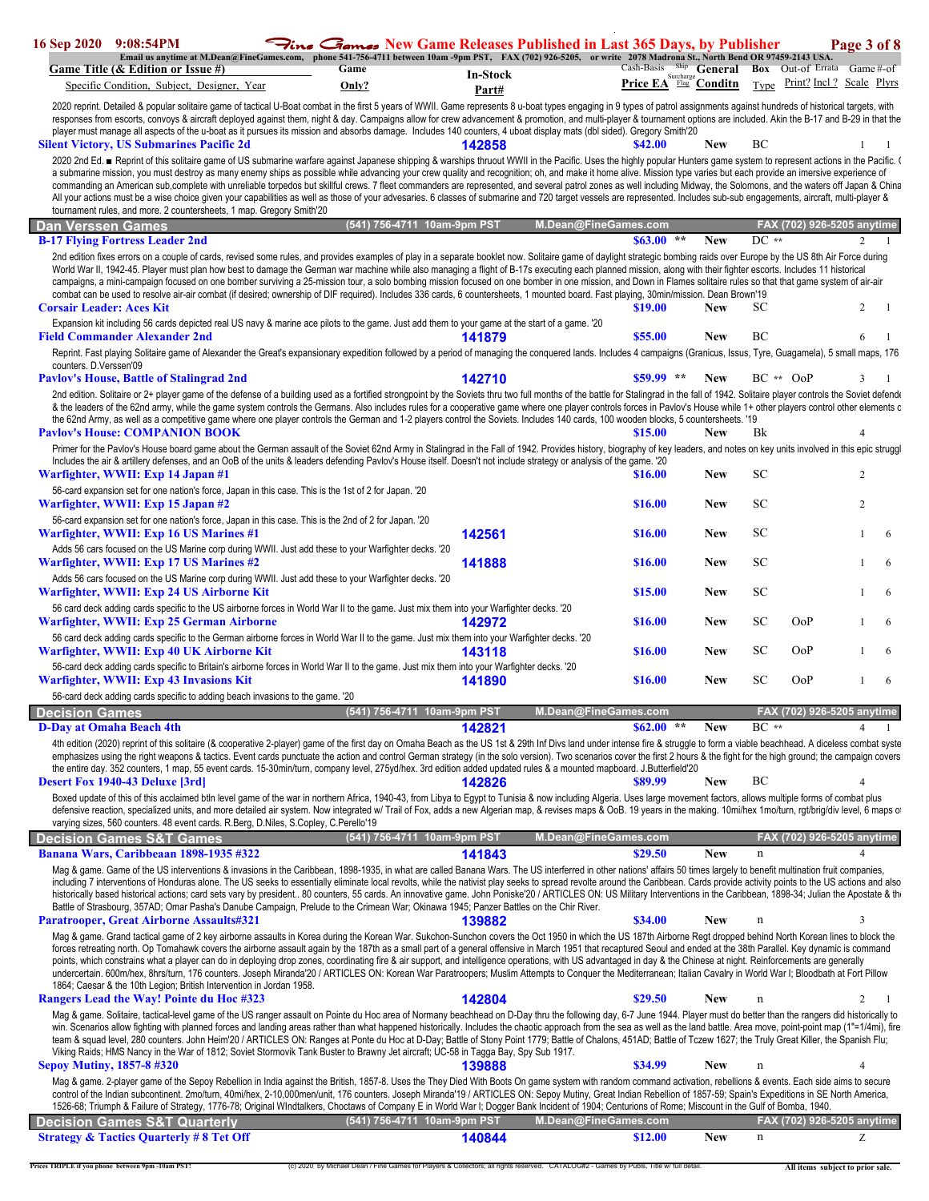| 16 Sep 2020 9:08:54PM                             |                                                                                                                                                                                                                                                                                                                                                                                                                                                                                                                                                                                                                                                                                                                                                                                                                                                                                                                                                                                  |               |                             |                          | $\mathcal{F}_{line}$ $\mathcal{F}_{\mathbf{ano}}$ New Game Releases Published in Last 365 Days, by Publisher                         |                                                                                    |            |             |                                  | Page 3 of 8    |    |
|---------------------------------------------------|----------------------------------------------------------------------------------------------------------------------------------------------------------------------------------------------------------------------------------------------------------------------------------------------------------------------------------------------------------------------------------------------------------------------------------------------------------------------------------------------------------------------------------------------------------------------------------------------------------------------------------------------------------------------------------------------------------------------------------------------------------------------------------------------------------------------------------------------------------------------------------------------------------------------------------------------------------------------------------|---------------|-----------------------------|--------------------------|--------------------------------------------------------------------------------------------------------------------------------------|------------------------------------------------------------------------------------|------------|-------------|----------------------------------|----------------|----|
|                                                   | Email us anytime at M.Dean@FineGames.com, phone 541-756-4711 between 10am -9pm PST, FAX (702) 926-5205, or write 2078 Madrona St., North Bend OR 97459-2143 USA.<br>Game Title (& Edition or Issue #)<br>Specific Condition, Subject, Designer, Year                                                                                                                                                                                                                                                                                                                                                                                                                                                                                                                                                                                                                                                                                                                             | Game<br>Only? |                             | <b>In-Stock</b><br>Part# |                                                                                                                                      | Cash-Basis Ship General Box Out-of Errata Game#-of<br><b>Price EA</b> Flag Conditn |            |             | Type Print? Incl? Scale Plyrs    |                |    |
|                                                   | 2020 reprint. Detailed & popular solitaire game of tactical U-Boat combat in the first 5 years of WWII. Game represents 8 u-boat types engaging in 9 types of patrol assignments against hundreds of historical targets, with<br>responses from escorts, convoys & aircraft deployed against them, night & day. Campaigns allow for crew advancement & promotion, and multi-player & tournament options are included. Akin the B-17 and B-29 in that the                                                                                                                                                                                                                                                                                                                                                                                                                                                                                                                         |               |                             |                          |                                                                                                                                      |                                                                                    |            |             |                                  |                |    |
|                                                   | player must manage all aspects of the u-boat as it pursues its mission and absorbs damage. Includes 140 counters, 4 uboat display mats (dbl sided). Gregory Smith'20<br><b>Silent Victory, US Submarines Pacific 2d</b>                                                                                                                                                                                                                                                                                                                                                                                                                                                                                                                                                                                                                                                                                                                                                          |               |                             | 142858                   |                                                                                                                                      | \$42.00                                                                            | <b>New</b> | BC          |                                  |                |    |
|                                                   | 2020 2nd Ed. ■ Reprint of this solitaire game of US submarine warfare against Japanese shipping & warships thruout WWII in the Pacific. Uses the highly popular Hunters game system to represent actions in the Pacific. (<br>a submarine mission, you must destroy as many enemy ships as possible while advancing your crew quality and recognition; oh, and make it home alive. Mission type varies but each provide an imersive experience of<br>commanding an American sub,complete with unreliable torpedos but skillful crews. 7 fleet commanders are represented, and several patrol zones as well including Midway, the Solomons, and the waters off Japan & China<br>All your actions must be a wise choice given your capabilities as well as those of your advesaries. 6 classes of submarine and 720 target vessels are represented. Includes sub-sub engagements, aircraft, multi-player &<br>tournament rules, and more. 2 countersheets, 1 map. Gregory Smith'20 |               |                             |                          |                                                                                                                                      |                                                                                    |            |             |                                  |                |    |
| Dan Verssen Games                                 |                                                                                                                                                                                                                                                                                                                                                                                                                                                                                                                                                                                                                                                                                                                                                                                                                                                                                                                                                                                  |               | (541) 756-4711 10am-9pm PST |                          | M.Dean@FineGames.com                                                                                                                 |                                                                                    |            |             | FAX (702) 926-5205 anytime       |                |    |
|                                                   | <b>B-17 Flying Fortress Leader 2nd</b>                                                                                                                                                                                                                                                                                                                                                                                                                                                                                                                                                                                                                                                                                                                                                                                                                                                                                                                                           |               |                             |                          |                                                                                                                                      | $$63.00$ **                                                                        | <b>New</b> | $DC**$      |                                  | $\overline{c}$ |    |
|                                                   | 2nd edition fixes errors on a couple of cards, revised some rules, and provides examples of play in a separate booklet now. Solitaire game of daylight strategic bombing raids over Europe by the US 8th Air Force during<br>World War II, 1942-45. Player must plan how best to damage the German war machine while also managing a flight of B-17s executing each planned mission, along with their fighter escorts. Includes 11 historical<br>campaigns, a mini-campaign focused on one bomber surviving a 25-mission tour, a solo bombing mission focused on one bomber in one mission, and Down in Flames solitaire rules so that that game system of air-air<br>combat can be used to resolve air-air combat (if desired; ownership of DIF required). Includes 336 cards, 6 countersheets, 1 mounted board. Fast playing, 30min/mission. Dean Brown'19                                                                                                                     |               |                             |                          |                                                                                                                                      |                                                                                    |            |             |                                  |                |    |
| <b>Corsair Leader: Aces Kit</b>                   | Expansion kit including 56 cards depicted real US navy & marine ace pilots to the game. Just add them to your game at the start of a game. '20                                                                                                                                                                                                                                                                                                                                                                                                                                                                                                                                                                                                                                                                                                                                                                                                                                   |               |                             |                          |                                                                                                                                      | \$19.00                                                                            | <b>New</b> | SС          |                                  | 2              |    |
|                                                   | <b>Field Commander Alexander 2nd</b>                                                                                                                                                                                                                                                                                                                                                                                                                                                                                                                                                                                                                                                                                                                                                                                                                                                                                                                                             |               |                             | 141879                   |                                                                                                                                      | \$55.00                                                                            | <b>New</b> | BC          |                                  | 6              |    |
| counters. D.Verssen'09                            | Reprint. Fast playing Solitaire game of Alexander the Great's expansionary expedition followed by a period of managing the conquered lands. Includes 4 campaigns (Granicus, Issus, Tyre, Guagamela), 5 small maps, 176                                                                                                                                                                                                                                                                                                                                                                                                                                                                                                                                                                                                                                                                                                                                                           |               |                             |                          |                                                                                                                                      |                                                                                    |            |             |                                  |                |    |
|                                                   | <b>Paylov's House, Battle of Stalingrad 2nd</b>                                                                                                                                                                                                                                                                                                                                                                                                                                                                                                                                                                                                                                                                                                                                                                                                                                                                                                                                  |               |                             | 142710                   |                                                                                                                                      | $$59.99$ **                                                                        | <b>New</b> |             | $BC ** OoP$                      | 3              |    |
|                                                   | 2nd edition. Solitaire or 2+ player game of the defense of a building used as a fortified strongpoint by the Soviets thru two full months of the battle for Stalingrad in the fall of 1942. Solitaire player controls the Sovi<br>& the leaders of the 62nd army, while the game system controls the Germans. Also includes rules for a cooperative game where one player controls forces in Pavlov's House while 1+ other players control other elements c<br>the 62nd Army, as well as a competitive game where one player controls the German and 1-2 players control the Soviets. Includes 140 cards, 100 wooden blocks, 5 countersheets. '19<br><b>Paylov's House: COMPANION BOOK</b>                                                                                                                                                                                                                                                                                       |               |                             |                          |                                                                                                                                      | \$15.00                                                                            | <b>New</b> | Bk          |                                  |                |    |
|                                                   | Primer for the Pavlov's House board game about the German assault of the Soviet 62nd Army in Stalingrad in the Fall of 1942. Provides history, biography of key leaders, and notes on key units involved in this epic struggl<br>Includes the air & artillery defenses, and an OoB of the units & leaders defending Pavlov's House itself. Doesn't not include strategy or analysis of the game. '20                                                                                                                                                                                                                                                                                                                                                                                                                                                                                                                                                                             |               |                             |                          |                                                                                                                                      |                                                                                    |            |             |                                  |                |    |
|                                                   | Warfighter, WWII: Exp 14 Japan #1<br>56-card expansion set for one nation's force, Japan in this case. This is the 1st of 2 for Japan. '20                                                                                                                                                                                                                                                                                                                                                                                                                                                                                                                                                                                                                                                                                                                                                                                                                                       |               |                             |                          |                                                                                                                                      | \$16.00                                                                            | <b>New</b> | SC          |                                  | 2              |    |
|                                                   | Warfighter, WWII: Exp 15 Japan #2<br>56-card expansion set for one nation's force, Japan in this case. This is the 2nd of 2 for Japan. '20                                                                                                                                                                                                                                                                                                                                                                                                                                                                                                                                                                                                                                                                                                                                                                                                                                       |               |                             |                          |                                                                                                                                      | \$16.00                                                                            | <b>New</b> | SC          |                                  | 2              |    |
|                                                   | Warfighter, WWII: Exp 16 US Marines #1<br>Adds 56 cars focused on the US Marine corp during WWII. Just add these to your Warfighter decks. '20                                                                                                                                                                                                                                                                                                                                                                                                                                                                                                                                                                                                                                                                                                                                                                                                                                   |               |                             | 142561                   |                                                                                                                                      | \$16.00                                                                            | <b>New</b> | SC          |                                  | 1              | 6  |
|                                                   | Warfighter, WWII: Exp 17 US Marines #2                                                                                                                                                                                                                                                                                                                                                                                                                                                                                                                                                                                                                                                                                                                                                                                                                                                                                                                                           |               |                             | 141888                   |                                                                                                                                      | \$16.00                                                                            | <b>New</b> | SC          |                                  | 1              | 6  |
|                                                   | Adds 56 cars focused on the US Marine corp during WWII. Just add these to your Warfighter decks. '20<br>Warfighter, WWII: Exp 24 US Airborne Kit                                                                                                                                                                                                                                                                                                                                                                                                                                                                                                                                                                                                                                                                                                                                                                                                                                 |               |                             |                          |                                                                                                                                      | \$15.00                                                                            | <b>New</b> | SC          |                                  |                | 6  |
|                                                   | 56 card deck adding cards specific to the US airborne forces in World War II to the game. Just mix them into your Warfighter decks. '20<br>Warfighter, WWII: Exp 25 German Airborne                                                                                                                                                                                                                                                                                                                                                                                                                                                                                                                                                                                                                                                                                                                                                                                              |               |                             | 142972                   |                                                                                                                                      | \$16.00                                                                            | <b>New</b> | SC          | OoP                              | -1             | 6  |
|                                                   | 56 card deck adding cards specific to the German airborne forces in World War II to the game. Just mix them into your Warfighter decks. '20<br>Warfighter, WWII: Exp 40 UK Airborne Kit                                                                                                                                                                                                                                                                                                                                                                                                                                                                                                                                                                                                                                                                                                                                                                                          |               |                             | 143118                   |                                                                                                                                      | \$16.00                                                                            | <b>New</b> | SC          | OoP                              | 1              | 6  |
|                                                   | 56-card deck adding cards specific to Britain's airborne forces in World War II to the game. Just mix them into your Warfighter decks. '20<br>Warfighter, WWII: Exp 43 Invasions Kit                                                                                                                                                                                                                                                                                                                                                                                                                                                                                                                                                                                                                                                                                                                                                                                             |               |                             | 141890                   |                                                                                                                                      | \$16.00                                                                            | <b>New</b> | SC          | OoP                              | 1              | 6  |
| <b>Decision Games</b>                             | 56-card deck adding cards specific to adding beach invasions to the game. '20                                                                                                                                                                                                                                                                                                                                                                                                                                                                                                                                                                                                                                                                                                                                                                                                                                                                                                    |               | (541) 756-4711 10am-9pm PST |                          | M.Dean@FineGames.com                                                                                                                 |                                                                                    |            |             | FAX (702) 926-5205 anytime       |                |    |
| <b>D-Day at Omaha Beach 4th</b>                   |                                                                                                                                                                                                                                                                                                                                                                                                                                                                                                                                                                                                                                                                                                                                                                                                                                                                                                                                                                                  |               |                             | 142821                   |                                                                                                                                      | $$62.00$ **                                                                        | <b>New</b> | $BC**$      |                                  | 4              | -1 |
|                                                   | 4th edition (2020) reprint of this solitaire (& cooperative 2-player) game of the first day on Omaha Beach as the US 1st & 29th Inf Divs land under intense fire & struggle to form a viable beachhead. A diceless combat syst                                                                                                                                                                                                                                                                                                                                                                                                                                                                                                                                                                                                                                                                                                                                                   |               |                             |                          |                                                                                                                                      |                                                                                    |            |             |                                  |                |    |
|                                                   | emphasizes using the right weapons & tactics. Event cards punctuate the action and control German strategy (in the solo version). Two scenarios cover the first 2 hours & the fight for the high ground; the campaign covers<br>the entire day. 352 counters, 1 map, 55 event cards. 15-30min/turn, company level, 275yd/hex. 3rd edition added updated rules & a mounted mapboard. J.Butterfield'20                                                                                                                                                                                                                                                                                                                                                                                                                                                                                                                                                                             |               |                             |                          |                                                                                                                                      |                                                                                    |            |             |                                  |                |    |
|                                                   | Desert Fox 1940-43 Deluxe [3rd]                                                                                                                                                                                                                                                                                                                                                                                                                                                                                                                                                                                                                                                                                                                                                                                                                                                                                                                                                  |               |                             | 142826                   |                                                                                                                                      | \$89.99                                                                            | <b>New</b> | BC          |                                  | 4              |    |
|                                                   | Boxed update of this of this acclaimed btln level game of the war in northern Africa, 1940-43, from Libya to Egypt to Tunisia & now including Algeria. Uses large movement factors, allows multiple forms of combat plus<br>defensive reaction, specialized units, and more detailed air system. Now integrated w/ Trail of Fox, adds a new Algerian map, & revises maps & OoB. 19 years in the making. 10mi/hex 1mo/turn, rgt/brig/div level, 6 maps o                                                                                                                                                                                                                                                                                                                                                                                                                                                                                                                          |               |                             |                          |                                                                                                                                      |                                                                                    |            |             |                                  |                |    |
|                                                   | varying sizes, 560 counters. 48 event cards. R.Berg, D.Niles, S.Copley, C.Perello'19                                                                                                                                                                                                                                                                                                                                                                                                                                                                                                                                                                                                                                                                                                                                                                                                                                                                                             |               |                             |                          |                                                                                                                                      |                                                                                    |            |             |                                  |                |    |
|                                                   | <b>Decision Games S&amp;T Games</b><br>Banana Wars, Caribbeaan 1898-1935 #322                                                                                                                                                                                                                                                                                                                                                                                                                                                                                                                                                                                                                                                                                                                                                                                                                                                                                                    |               | (541) 756-4711 10am-9pm PST | 141843                   | M.Dean@FineGames.com                                                                                                                 | \$29.50                                                                            | <b>New</b> | $\mathbf n$ | FAX (702) 926-5205 anytime       | 4              |    |
|                                                   | Mag & game. Game of the US interventions & invasions in the Caribbean, 1898-1935, in what are called Banana Wars. The US interferred in other nations' affairs 50 times largely to benefit multination fruit companies,<br>including 7 interventions of Honduras alone. The US seeks to essentially eliminate local revolts, while the nativist play seeks to spread revolte around the Caribbean. Cards provide activity points to the US actions and al<br>historically based historical actions; card sets vary by president 80 counters, 55 cards. An innovative game. John Poniske'20 / ARTICLES ON: US Military Interventions in the Caribbean, 1898-34; Julian the Apostate & th<br>Battle of Strasbourg, 357AD; Omar Pasha's Danube Campaign, Prelude to the Crimean War; Okinawa 1945; Panzer Battles on the Chir River.                                                                                                                                                |               |                             |                          |                                                                                                                                      |                                                                                    |            |             |                                  |                |    |
|                                                   | <b>Paratrooper, Great Airborne Assaults#321</b>                                                                                                                                                                                                                                                                                                                                                                                                                                                                                                                                                                                                                                                                                                                                                                                                                                                                                                                                  |               |                             | 139882                   |                                                                                                                                      | \$34.00                                                                            | <b>New</b> | $\mathbf n$ |                                  | 3              |    |
|                                                   | Mag & game. Grand tactical game of 2 key airborne assaults in Korea during the Korean War. Sukchon-Sunchon covers the Oct 1950 in which the US 187th Airborne Regt dropped behind North Korean lines to block the<br>forces retreating north. Op Tomahawk covers the airborne assault again by the 187th as a small part of a general offensive in March 1951 that recaptured Seoul and ended at the 38th Parallel. Key dynamic is command<br>points, which constrains what a player can do in deploying drop zones, coordinating fire & air support, and intelligence operations, with US advantaged in day & the Chinese at night. Reinforcements are generally<br>undercertain. 600m/hex, 8hrs/turn, 176 counters. Joseph Miranda'20 / ARTICLES ON: Korean War Paratroopers; Muslim Attempts to Conquer the Mediterranean; Italian Cavalry in World War I; Bloodbath at Fort Pillow<br>1864; Caesar & the 10th Legion; British Intervention in Jordan 1958.                   |               |                             |                          |                                                                                                                                      |                                                                                    |            |             |                                  |                |    |
|                                                   | <b>Rangers Lead the Way! Pointe du Hoc #323</b>                                                                                                                                                                                                                                                                                                                                                                                                                                                                                                                                                                                                                                                                                                                                                                                                                                                                                                                                  |               |                             | 142804                   |                                                                                                                                      | \$29.50                                                                            | <b>New</b> | n           |                                  | 2              | -1 |
|                                                   | Mag & game. Solitaire, tactical-level game of the US ranger assault on Pointe du Hoc area of Normany beachhead on D-Day thru the following day, 6-7 June 1944. Player must do better than the rangers did historically to<br>win. Scenarios allow fighting with planned forces and landing areas rather than what happened historically. Includes the chaotic approach from the sea as well as the land battle. Area move, point-point map (1"=1/4mi), fire<br>team & squad level, 280 counters. John Heim'20 / ARTICLES ON: Ranges at Ponte du Hoc at D-Day; Battle of Stony Point 1779; Battle of Chalons, 451AD; Battle of Tczew 1627; the Truly Great Killer, the Spanish Flu;<br>Viking Raids; HMS Nancy in the War of 1812; Soviet Stormovik Tank Buster to Brawny Jet aircraft; UC-58 in Tagga Bay, Spy Sub 1917.                                                                                                                                                         |               |                             |                          |                                                                                                                                      |                                                                                    |            |             |                                  |                |    |
| <b>Sepoy Mutiny, 1857-8 #320</b>                  |                                                                                                                                                                                                                                                                                                                                                                                                                                                                                                                                                                                                                                                                                                                                                                                                                                                                                                                                                                                  |               |                             | 139888                   |                                                                                                                                      | \$34.99                                                                            | <b>New</b> | $\mathbf n$ |                                  | 4              |    |
|                                                   | Mag & game. 2-player game of the Sepoy Rebellion in India against the British, 1857-8. Uses the They Died With Boots On game system with random command activation, rebellions & events. Each side aims to secure<br>control of the Indian subcontinent. 2mo/turn, 40mi/hex, 2-10,000men/unit, 176 counters. Joseph Miranda'19 / ARTICLES ON: Sepoy Mutiny, Great Indian Rebellion of 1857-59; Spain's Expeditions in SE North America,<br>1526-68; Triumph & Failure of Strategy, 1776-78; Original WIndtalkers, Choctaws of Company E in World War I; Dogger Bank Incident of 1904; Centurions of Rome; Miscount in the Gulf of Bomba, 1940.                                                                                                                                                                                                                                                                                                                                   |               |                             |                          |                                                                                                                                      |                                                                                    |            |             |                                  |                |    |
|                                                   | <b>Decision Games S&amp;T Quarterly</b>                                                                                                                                                                                                                                                                                                                                                                                                                                                                                                                                                                                                                                                                                                                                                                                                                                                                                                                                          |               | (541) 756-4711 10am-9pm PST |                          | M.Dean@FineGames.com                                                                                                                 |                                                                                    |            |             | FAX (702) 926-5205 anytime       |                |    |
|                                                   | <b>Strategy &amp; Tactics Quarterly #8 Tet Off</b>                                                                                                                                                                                                                                                                                                                                                                                                                                                                                                                                                                                                                                                                                                                                                                                                                                                                                                                               |               |                             | 140844                   |                                                                                                                                      | \$12.00                                                                            | <b>New</b> | $\mathbf n$ |                                  | Ζ              |    |
| Prices TRIPLE if you phone between 9pm -10am PST! |                                                                                                                                                                                                                                                                                                                                                                                                                                                                                                                                                                                                                                                                                                                                                                                                                                                                                                                                                                                  |               |                             |                          | (c) 2020 by Michael Dean / Fine Games for Players & Collectors; all rights reserved. CATALOG#2 - Games by Publs, Title w/ full detai |                                                                                    |            |             | All items subject to prior sale. |                |    |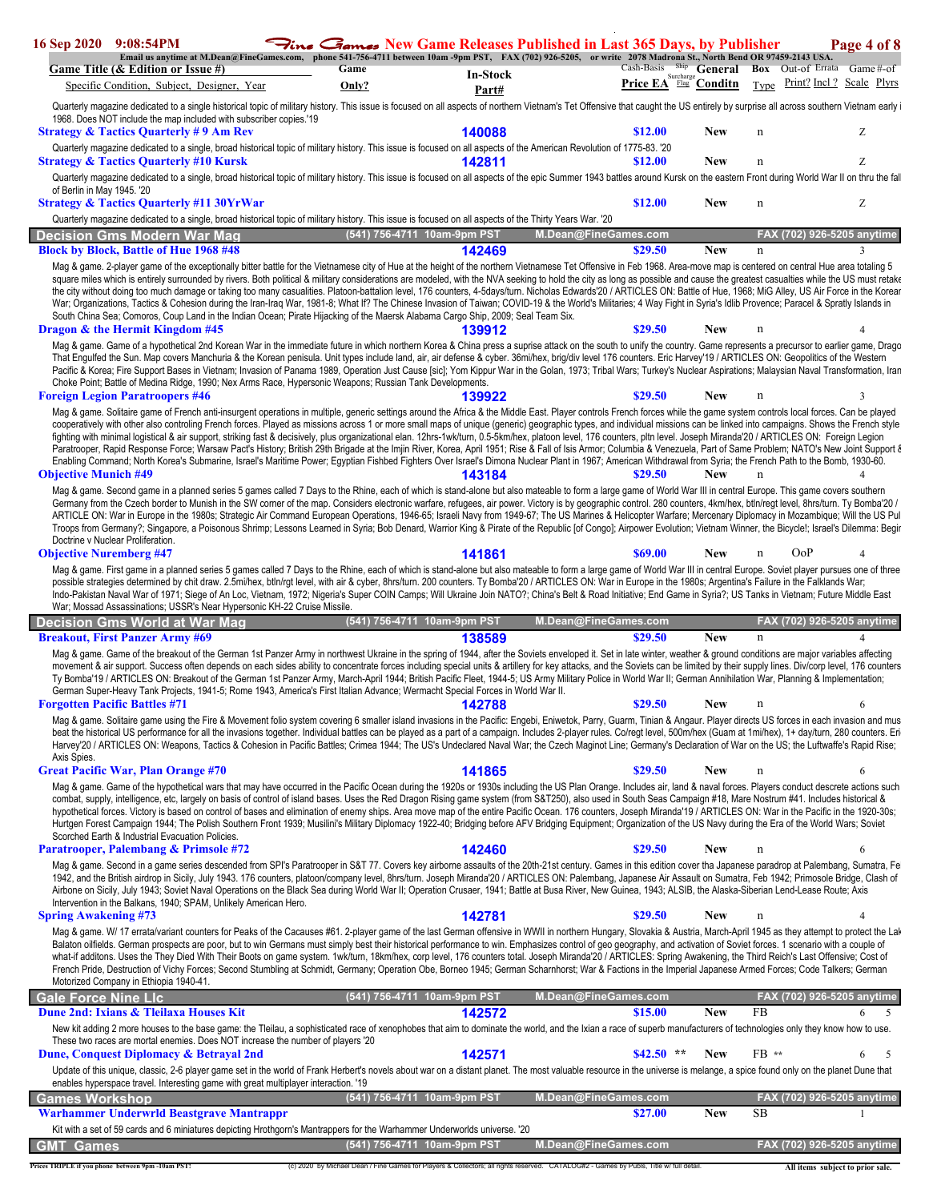| 16 Sep 2020                    | 9:08:54PM                                                                                                               |                                                                                                                                                                                                                                                                                                                                                                                                                                                                                                                                                                                                                                                                                                                                                                                                                                                                                                                                                                                                                                                                                                                             | <b>Fine <i>Games</i></b> New Game Releases Published in Last 365 Days, by Publisher |                   |                      |                                    |            |             | Page 4 of 8                       |   |
|--------------------------------|-------------------------------------------------------------------------------------------------------------------------|-----------------------------------------------------------------------------------------------------------------------------------------------------------------------------------------------------------------------------------------------------------------------------------------------------------------------------------------------------------------------------------------------------------------------------------------------------------------------------------------------------------------------------------------------------------------------------------------------------------------------------------------------------------------------------------------------------------------------------------------------------------------------------------------------------------------------------------------------------------------------------------------------------------------------------------------------------------------------------------------------------------------------------------------------------------------------------------------------------------------------------|-------------------------------------------------------------------------------------|-------------------|----------------------|------------------------------------|------------|-------------|-----------------------------------|---|
|                                | Game Title (& Edition or Issue #)                                                                                       | Email us anytime at M.Dean@FineGames.com, phone 541-756-4711 between 10am -9pm PST, FAX (702) 926-5205, or write 2078 Madrona St., North Bend OR 97459-2143 USA.                                                                                                                                                                                                                                                                                                                                                                                                                                                                                                                                                                                                                                                                                                                                                                                                                                                                                                                                                            | Game                                                                                |                   |                      | Cash-Basis Ship General            |            |             | <b>Box</b> Out-of Errata Game#-of |   |
|                                | Specific Condition, Subject, Designer, Year                                                                             |                                                                                                                                                                                                                                                                                                                                                                                                                                                                                                                                                                                                                                                                                                                                                                                                                                                                                                                                                                                                                                                                                                                             | Only?                                                                               | In-Stock<br>Part# |                      | Surcharge<br>Price EA Flag Conditn |            | Type        | Print? Incl? Scale Plyrs          |   |
|                                |                                                                                                                         | Quarterly magazine dedicated to a single historical topic of military history. This issue is focused on all aspects of northern Vietnam's Tet Offensive that caught the US entirely by surprise all across southern Vietnam ea                                                                                                                                                                                                                                                                                                                                                                                                                                                                                                                                                                                                                                                                                                                                                                                                                                                                                              |                                                                                     |                   |                      |                                    |            |             |                                   |   |
|                                | 1968. Does NOT include the map included with subscriber copies.'19<br><b>Strategy &amp; Tactics Quarterly #9 Am Rev</b> |                                                                                                                                                                                                                                                                                                                                                                                                                                                                                                                                                                                                                                                                                                                                                                                                                                                                                                                                                                                                                                                                                                                             |                                                                                     | 140088            |                      | \$12.00                            | New        | n           | Ζ                                 |   |
|                                |                                                                                                                         | Quarterly magazine dedicated to a single, broad historical topic of military history. This issue is focused on all aspects of the American Revolution of 1775-83. '20                                                                                                                                                                                                                                                                                                                                                                                                                                                                                                                                                                                                                                                                                                                                                                                                                                                                                                                                                       |                                                                                     |                   |                      |                                    |            |             |                                   |   |
|                                | <b>Strategy &amp; Tactics Quarterly #10 Kursk</b>                                                                       |                                                                                                                                                                                                                                                                                                                                                                                                                                                                                                                                                                                                                                                                                                                                                                                                                                                                                                                                                                                                                                                                                                                             |                                                                                     | 142811            |                      | \$12.00                            | <b>New</b> | n           | Ζ                                 |   |
|                                |                                                                                                                         | Quarterly magazine dedicated to a single, broad historical topic of military history. This issue is focused on all aspects of the epic Summer 1943 battles around Kursk on the eastern Front during World War II on thru the f                                                                                                                                                                                                                                                                                                                                                                                                                                                                                                                                                                                                                                                                                                                                                                                                                                                                                              |                                                                                     |                   |                      |                                    |            |             |                                   |   |
| of Berlin in May 1945. '20     | <b>Strategy &amp; Tactics Quarterly #11 30YrWar</b>                                                                     |                                                                                                                                                                                                                                                                                                                                                                                                                                                                                                                                                                                                                                                                                                                                                                                                                                                                                                                                                                                                                                                                                                                             |                                                                                     |                   |                      | \$12.00                            | New        | $\mathbf n$ | Ζ                                 |   |
|                                |                                                                                                                         | Quarterly magazine dedicated to a single, broad historical topic of military history. This issue is focused on all aspects of the Thirty Years War. '20                                                                                                                                                                                                                                                                                                                                                                                                                                                                                                                                                                                                                                                                                                                                                                                                                                                                                                                                                                     |                                                                                     |                   |                      |                                    |            |             |                                   |   |
|                                | Decision Gms Modern War Mag                                                                                             |                                                                                                                                                                                                                                                                                                                                                                                                                                                                                                                                                                                                                                                                                                                                                                                                                                                                                                                                                                                                                                                                                                                             | (541) 756-4711 10am-9pm PST                                                         |                   | M.Dean@FineGames.com |                                    |            |             | FAX (702) 926-5205 anytime        |   |
|                                | <b>Block by Block, Battle of Hue 1968 #48</b>                                                                           |                                                                                                                                                                                                                                                                                                                                                                                                                                                                                                                                                                                                                                                                                                                                                                                                                                                                                                                                                                                                                                                                                                                             |                                                                                     | 142469            |                      | \$29.50                            | <b>New</b> | $\mathbf n$ |                                   |   |
|                                |                                                                                                                         | Mag & game. 2-player game of the exceptionally bitter battle for the Vietnamese city of Hue at the height of the northern Vietnamese Tet Offensive in Feb 1968. Area-move map is centered on central Hue area totaling 5<br>square miles which is entirely surrounded by rivers. Both political & military considerations are modeled, with the NVA seeking to hold the city as long as possible and cause the greatest casualties while the US must retak<br>the city without doing too much damage or taking too many casualities. Platoon-battalion level, 176 counters, 4-5days/turn. Nicholas Edwards'20 / ARTICLES ON: Battle of Hue, 1968; MiG Alley, US Air Force in the Korear<br>War; Organizations, Tactics & Cohesion during the Iran-Iraq War, 1981-8; What If? The Chinese Invasion of Taiwan; COVID-19 & the World's Militaries; 4 Way Fight in Syria's Idlib Provence; Paracel & Spratly Islands in<br>South China Sea; Comoros, Coup Land in the Indian Ocean; Pirate Hijacking of the Maersk Alabama Cargo Ship, 2009; Seal Team Six.                                                                     |                                                                                     |                   |                      |                                    |            |             |                                   |   |
|                                | <b>Dragon &amp; the Hermit Kingdom #45</b>                                                                              |                                                                                                                                                                                                                                                                                                                                                                                                                                                                                                                                                                                                                                                                                                                                                                                                                                                                                                                                                                                                                                                                                                                             |                                                                                     | 139912            |                      | \$29.50                            | New        | n           |                                   |   |
|                                | <b>Foreign Legion Paratroopers #46</b>                                                                                  | Mag & game. Game of a hypothetical 2nd Korean War in the immediate future in which northern Korea & China press a suprise attack on the south to unify the country. Game represents a precursor to earlier game, Dragc<br>That Engulfed the Sun. Map covers Manchuria & the Korean penisula. Unit types include land, air, air defense & cyber. 36mi/hex, brig/div level 176 counters. Eric Harvey'19 / ARTICLES ON: Geopolitics of the Western<br>Pacific & Korea; Fire Support Bases in Vietnam; Invasion of Panama 1989, Operation Just Cause [sic]; Yom Kippur War in the Golan, 1973; Tribal Wars; Turkey's Nuclear Aspirations; Malaysian Naval Transformation, Iran<br>Choke Point; Battle of Medina Ridge, 1990; Nex Arms Race, Hypersonic Weapons; Russian Tank Developments.                                                                                                                                                                                                                                                                                                                                      |                                                                                     | 139922            |                      | \$29.50                            | New        |             |                                   |   |
|                                |                                                                                                                         | Mag & game. Solitaire game of French anti-insurgent operations in multiple, generic settings around the Africa & the Middle East. Player controls French forces while the game system controls local forces. Can be played                                                                                                                                                                                                                                                                                                                                                                                                                                                                                                                                                                                                                                                                                                                                                                                                                                                                                                  |                                                                                     |                   |                      |                                    |            |             |                                   |   |
| <b>Objective Munich #49</b>    |                                                                                                                         | cooperatively with other also controling French forces. Played as missions across 1 or more small maps of unique (generic) geographic types, and individual missions can be linked into campaigns. Shows the French style<br>fighting with minimal logistical & air support, striking fast & decisively, plus organizational elan. 12hrs-1wk/turn, 0.5-5km/hex, platoon level, 176 counters, pltn level. Joseph Miranda'20 / ARTICLES ON: Foreign Legion<br>Paratrooper, Rapid Response Force; Warsaw Pact's History; British 29th Brigade at the Imjin River, Korea, April 1951; Rise & Fall of Isis Armor; Columbia & Venezuela, Part of Same Problem; NATO's New Joint Support &<br>Enabling Command; North Korea's Submarine, Israel's Maritime Power; Egyptian Fishbed Fighters Over Israel's Dimona Nuclear Plant in 1967; American Withdrawal from Syria; the French Path to the Bomb, 1930-60.<br>Mag & game. Second game in a planned series 5 games called 7 Days to the Rhine, each of which is stand-alone but also mateable to form a large game of World War III in central Europe. This game covers southern |                                                                                     | 143184            |                      | \$29.50                            | <b>New</b> | $\mathbf n$ |                                   |   |
| <b>Objective Nuremberg #47</b> | Doctrine v Nuclear Proliferation.                                                                                       | Germany from the Czech border to Munish in the SW corner of the map. Considers electronic warfare, refugees, air power. Victory is by geographic control. 280 counters, 4km/hex, btln/regt level, 8hrs/turn. Ty Bomba'20 /<br>ARTICLE ON: War in Europe in the 1980s; Strategic Air Command European Operations, 1946-65; Israeli Navy from 1949-67; The US Marines & Helicopter Warfare; Mercenary Diplomacy in Mozambique; Will the US Pul<br>Troops from Germany?; Singapore, a Poisonous Shrimp; Lessons Learned in Syria; Bob Denard, Warrior King & Pirate of the Republic [of Congo]; Airpower Evolution; Vietnam Winner, the Bicycle!; Israel's Dilemma: Begir                                                                                                                                                                                                                                                                                                                                                                                                                                                      |                                                                                     | 141861            |                      | \$69.00                            | New        |             | OoP                               |   |
|                                |                                                                                                                         | Mag & game. First game in a planned series 5 games called 7 Days to the Rhine, each of which is stand-alone but also mateable to form a large game of World War III in central Europe. Soviet player pursues one of three                                                                                                                                                                                                                                                                                                                                                                                                                                                                                                                                                                                                                                                                                                                                                                                                                                                                                                   |                                                                                     |                   |                      |                                    |            |             |                                   |   |
|                                |                                                                                                                         | possible strategies determined by chit draw. 2.5mi/hex, btln/rgt level, with air & cyber, 8hrs/turn. 200 counters. Ty Bomba'20 / ARTICLES ON: War in Europe in the 1980s; Argentina's Failure in the Falklands War;<br>Indo-Pakistan Naval War of 1971; Siege of An Loc, Vietnam, 1972; Nigeria's Super COIN Camps; Will Ukraine Join NATO?; China's Belt & Road Initiative; End Game in Syria?; US Tanks in Vietnam; Future Middle East                                                                                                                                                                                                                                                                                                                                                                                                                                                                                                                                                                                                                                                                                    |                                                                                     |                   |                      |                                    |            |             |                                   |   |
|                                |                                                                                                                         | War; Mossad Assassinations; USSR's Near Hypersonic KH-22 Cruise Missile.                                                                                                                                                                                                                                                                                                                                                                                                                                                                                                                                                                                                                                                                                                                                                                                                                                                                                                                                                                                                                                                    |                                                                                     |                   |                      |                                    |            |             |                                   |   |
|                                | Decision Gms World at War Mag                                                                                           |                                                                                                                                                                                                                                                                                                                                                                                                                                                                                                                                                                                                                                                                                                                                                                                                                                                                                                                                                                                                                                                                                                                             | (541) 756-4711 10am-9pm PST                                                         |                   | M.Dean@FineGames.com |                                    |            |             | <u>FAX (702) 926-5205 anytime</u> |   |
|                                | <b>Breakout, First Panzer Army #69</b>                                                                                  |                                                                                                                                                                                                                                                                                                                                                                                                                                                                                                                                                                                                                                                                                                                                                                                                                                                                                                                                                                                                                                                                                                                             |                                                                                     | 138589            |                      | \$29.50                            | <b>New</b> | $\mathbf n$ |                                   |   |
|                                |                                                                                                                         | Mag & game. Game of the breakout of the German 1st Panzer Army in northwest Ukraine in the spring of 1944, after the Soviets enveloped it. Set in late winter, weather & ground conditions are major variables affecting<br>movement & air support. Success often depends on each sides ability to concentrate forces including special units & artillery for key attacks, and the Soviets can be limited by their supply lines. Div/corp level, 176 count<br>Ty Bomba'19 / ARTICLES ON: Breakout of the German 1st Panzer Army, March-April 1944; British Pacific Fleet, 1944-5; US Army Military Police in World War II; German Annihilation War, Planning & Implementation;<br>German Super-Heavy Tank Projects, 1941-5; Rome 1943, America's First Italian Advance; Wermacht Special Forces in World War II.                                                                                                                                                                                                                                                                                                            |                                                                                     |                   |                      |                                    |            |             |                                   |   |
|                                | <b>Forgotten Pacific Battles #71</b>                                                                                    |                                                                                                                                                                                                                                                                                                                                                                                                                                                                                                                                                                                                                                                                                                                                                                                                                                                                                                                                                                                                                                                                                                                             |                                                                                     | 142788            |                      | \$29.50                            | New        | n           | 6                                 |   |
| Axis Spies.                    |                                                                                                                         | Mag & game. Solitaire game using the Fire & Movement folio system covering 6 smaller island invasions in the Pacific: Engebi, Eniwetok, Parry, Guarm, Tinian & Angaur. Player directs US forces in each invasion and mus<br>beat the historical US performance for all the invasions together. Individual battles can be played as a part of a campaign. Includes 2-player rules. Co/regt level, 500m/hex (Guam at 1mi/hex), 1+ day/turn, 280 counters. Er<br>Harvey'20 / ARTICLES ON: Weapons, Tactics & Cohesion in Pacific Battles; Crimea 1944; The US's Undeclared Naval War; the Czech Maginot Line; Germany's Declaration of War on the US; the Luftwaffe's Rapid Rise;                                                                                                                                                                                                                                                                                                                                                                                                                                              |                                                                                     |                   |                      |                                    |            |             |                                   |   |
|                                | <b>Great Pacific War, Plan Orange #70</b>                                                                               |                                                                                                                                                                                                                                                                                                                                                                                                                                                                                                                                                                                                                                                                                                                                                                                                                                                                                                                                                                                                                                                                                                                             |                                                                                     | 141865            |                      | \$29.50                            | New        |             | 6                                 |   |
|                                | Scorched Earth & Industrial Evacuation Policies.                                                                        | Mag & game. Game of the hypothetical wars that may have occurred in the Pacific Ocean during the 1920s or 1930s including the US Plan Orange. Includes air, land & naval forces. Players conduct descrete actions such<br>combat, supply, intelligence, etc, largely on basis of control of island bases. Uses the Red Dragon Rising game system (from S&T250), also used in South Seas Campaign #18, Mare Nostrum #41. Includes historical &<br>hypothetical forces. Victory is based on control of bases and elimination of enemy ships. Area move map of the entire Pacific Ocean. 176 counters, Joseph Miranda'19 / ARTICLES ON: War in the Pacific in the 1920-30s;<br>Hurtgen Forest Campaign 1944; The Polish Southern Front 1939; Musilini's Military Diplomacy 1922-40; Bridging before AFV Bridging Equipment; Organization of the US Navy during the Era of the World Wars; Soviet                                                                                                                                                                                                                               |                                                                                     |                   |                      |                                    |            |             |                                   |   |
|                                | Paratrooper, Palembang & Primsole #72                                                                                   |                                                                                                                                                                                                                                                                                                                                                                                                                                                                                                                                                                                                                                                                                                                                                                                                                                                                                                                                                                                                                                                                                                                             |                                                                                     | 142460            |                      | \$29.50                            | New        | $\mathbf n$ | 6                                 |   |
|                                | Intervention in the Balkans, 1940; SPAM, Unlikely American Hero.                                                        | Mag & game. Second in a game series descended from SPI's Paratrooper in S&T 77. Covers key airborne assaults of the 20th-21st century. Games in this edition cover tha Japanese paradrop at Palembang, Sumatra, Fe<br>1942, and the British airdrop in Sicily, July 1943. 176 counters, platoon/company level, 8hrs/turn. Joseph Miranda'20 / ARTICLES ON: Palembang, Japanese Air Assault on Sumatra, Feb 1942; Primosole Bridge, Clash of<br>Airbone on Sicily, July 1943; Soviet Naval Operations on the Black Sea during World War II; Operation Crusaer, 1941; Battle at Busa River, New Guinea, 1943; ALSIB, the Alaska-Siberian Lend-Lease Route; Axis                                                                                                                                                                                                                                                                                                                                                                                                                                                               |                                                                                     |                   |                      |                                    |            |             |                                   |   |
| <b>Spring Awakening #73</b>    |                                                                                                                         |                                                                                                                                                                                                                                                                                                                                                                                                                                                                                                                                                                                                                                                                                                                                                                                                                                                                                                                                                                                                                                                                                                                             |                                                                                     | 142781            |                      | \$29.50                            | <b>New</b> | $\mathbf n$ |                                   |   |
|                                | Motorized Company in Ethiopia 1940-41.                                                                                  | Mag & game. W/ 17 errata/variant counters for Peaks of the Cacauses #61. 2-player game of the last German offensive in WWII in northern Hungary, Slovakia & Austria, March-April 1945 as they attempt to protect the Lal<br>Balaton oilfields. German prospects are poor, but to win Germans must simply best their historical performance to win. Emphasizes control of geo geography, and activation of Soviet forces. 1 scenario with a couple of<br>what-if additons. Uses the They Died With Their Boots on game system. 1wk/turn, 18km/hex, corp level, 176 counters total. Joseph Miranda'20 / ARTICLES: Spring Awakening, the Third Reich's Last Offensive; Cost of<br>French Pride, Destruction of Vichy Forces; Second Stumbling at Schmidt, Germany; Operation Obe, Borneo 1945; German Scharnhorst; War & Factions in the Imperial Japanese Armed Forces; Code Talkers; German                                                                                                                                                                                                                                  |                                                                                     |                   |                      |                                    |            |             |                                   |   |
| Gale Force Nine Llc            |                                                                                                                         |                                                                                                                                                                                                                                                                                                                                                                                                                                                                                                                                                                                                                                                                                                                                                                                                                                                                                                                                                                                                                                                                                                                             | (541) 756-4711 10am-9pm PST                                                         |                   | M.Dean@FineGames.com |                                    |            |             | FAX (702) 926-5205 anytime        |   |
|                                | Dune 2nd: Ixians & Tleilaxa Houses Kit                                                                                  | New kit adding 2 more houses to the base game: the Tleilau, a sophisticated race of xenophobes that aim to dominate the world, and the Ixian a race of superb manufacturers of technologies only they know how to use.                                                                                                                                                                                                                                                                                                                                                                                                                                                                                                                                                                                                                                                                                                                                                                                                                                                                                                      |                                                                                     | 142572            |                      | \$15.00                            | <b>New</b> | <b>FB</b>   | 6                                 | 5 |
|                                |                                                                                                                         | These two races are mortal enemies. Does NOT increase the number of players '20                                                                                                                                                                                                                                                                                                                                                                                                                                                                                                                                                                                                                                                                                                                                                                                                                                                                                                                                                                                                                                             |                                                                                     |                   |                      |                                    |            |             |                                   |   |
|                                | Dune, Conquest Diplomacy & Betrayal 2nd                                                                                 |                                                                                                                                                                                                                                                                                                                                                                                                                                                                                                                                                                                                                                                                                                                                                                                                                                                                                                                                                                                                                                                                                                                             |                                                                                     | 142571            |                      | \$42.50                            | <b>New</b> | FB **       | 6                                 | 5 |
|                                |                                                                                                                         | Update of this unique, classic, 2-6 player game set in the world of Frank Herbert's novels about war on a distant planet. The most valuable resource in the universe is melange, a spice found only on the planet Dune that<br>enables hyperspace travel. Interesting game with great multiplayer interaction. '19                                                                                                                                                                                                                                                                                                                                                                                                                                                                                                                                                                                                                                                                                                                                                                                                          |                                                                                     |                   |                      |                                    |            |             |                                   |   |
| Games Workshop                 |                                                                                                                         |                                                                                                                                                                                                                                                                                                                                                                                                                                                                                                                                                                                                                                                                                                                                                                                                                                                                                                                                                                                                                                                                                                                             | (541) 756-4711 10am-9pm PST                                                         |                   | M.Dean@FineGames.com |                                    |            |             | FAX (702) 926-5205 anytime        |   |
|                                | <b>Warhammer Underwrld Beastgrave Mantrappr</b>                                                                         |                                                                                                                                                                                                                                                                                                                                                                                                                                                                                                                                                                                                                                                                                                                                                                                                                                                                                                                                                                                                                                                                                                                             |                                                                                     |                   |                      | \$27.00                            | <b>New</b> | SB          |                                   |   |
| GMT Games                      |                                                                                                                         | Kit with a set of 59 cards and 6 miniatures depicting Hrothgorn's Mantrappers for the Warhammer Underworlds universe. '20                                                                                                                                                                                                                                                                                                                                                                                                                                                                                                                                                                                                                                                                                                                                                                                                                                                                                                                                                                                                   | (541) 756-4711 10am-9pm PST                                                         |                   | M.Dean@FineGames.com |                                    |            |             | FAX (702) 926-5205 anytime        |   |

Prices TRIPLE if you phone between 9pm -10am PST! (c) 2020 by Michael Dean / Fine Games for Players & Collectors; all rights reserved. CATALOG#2 - Games by Publs, Title w/ full detail. All items subject to prior sale.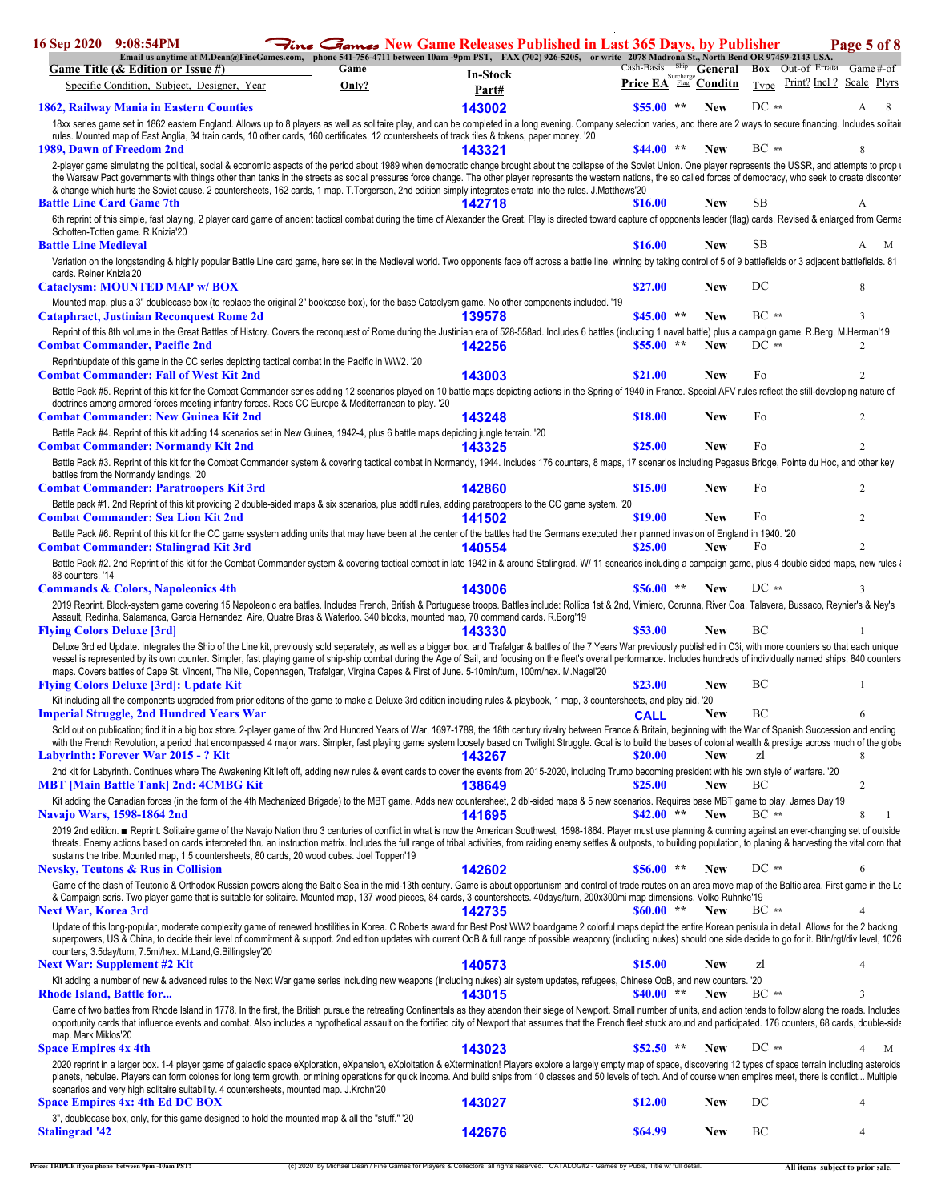| 16 Sep 2020                       | 9:08:54PM                                                                               |                                                                                                                                                                                                                                                                                                                                                                                                                                                                                                                                                                                                                     | <b>Fine <i>Games</i></b> New Game Releases Published in Last 365 Days, by Publisher |                                    |            |                                   | Page 5 of 8    |
|-----------------------------------|-----------------------------------------------------------------------------------------|---------------------------------------------------------------------------------------------------------------------------------------------------------------------------------------------------------------------------------------------------------------------------------------------------------------------------------------------------------------------------------------------------------------------------------------------------------------------------------------------------------------------------------------------------------------------------------------------------------------------|-------------------------------------------------------------------------------------|------------------------------------|------------|-----------------------------------|----------------|
|                                   | Game Title (& Edition or Issue #)                                                       | Email us anytime at M.Dean@FineGames.com, phone 541-756-4711 between 10am -9pm PST, FAX (702) 926-5205, or write 2078 Madrona St., North Bend OR 97459-2143 USA.<br>Game                                                                                                                                                                                                                                                                                                                                                                                                                                            |                                                                                     | Cash-Basis Ship General            |            | <b>Box</b> Out-of Errata Game#-of |                |
|                                   | Specific Condition, Subject, Designer, Year                                             | Only?                                                                                                                                                                                                                                                                                                                                                                                                                                                                                                                                                                                                               | In-Stock<br>Part#                                                                   | Surcharge<br>Price EA Flag Conditn |            | Type Print? Incl? Scale Plyrs     |                |
|                                   | 1862, Railway Mania in Eastern Counties                                                 |                                                                                                                                                                                                                                                                                                                                                                                                                                                                                                                                                                                                                     | 143002                                                                              | $$55.00$ **                        | <b>New</b> | $DC**$                            | A<br>8         |
|                                   |                                                                                         | 18xx series game set in 1862 eastern England. Allows up to 8 players as well as solitaire play, and can be completed in a long evening. Company selection varies, and there are 2 ways to secure financing. Includes solitai                                                                                                                                                                                                                                                                                                                                                                                        |                                                                                     |                                    |            |                                   |                |
| 1989, Dawn of Freedom 2nd         |                                                                                         | rules. Mounted map of East Anglia, 34 train cards, 10 other cards, 160 certificates, 12 countersheets of track tiles & tokens, paper money. '20                                                                                                                                                                                                                                                                                                                                                                                                                                                                     | 143321                                                                              | $$44.00$ **                        | <b>New</b> | $BC **$                           |                |
|                                   |                                                                                         | 2-player game simulating the political, social & economic aspects of the period about 1989 when democratic change brought about the collapse of the Soviet Union. One player represents the USSR, and attempts to prop i<br>the Warsaw Pact governments with things other than tanks in the streets as social pressures force change. The other player represents the western nations, the so called forces of democracy, who seek to create disconter<br>& change which hurts the Soviet cause. 2 countersheets, 162 cards, 1 map. T.Torgerson, 2nd edition simply integrates errata into the rules. J.Matthews'20 |                                                                                     |                                    |            |                                   |                |
| <b>Battle Line Card Game 7th</b>  |                                                                                         |                                                                                                                                                                                                                                                                                                                                                                                                                                                                                                                                                                                                                     | 142718                                                                              | \$16.00                            | <b>New</b> | SB                                | А              |
|                                   | Schotten-Totten game. R.Knizia'20                                                       | 6th reprint of this simple, fast playing, 2 player card game of ancient tactical combat during the time of Alexander the Great. Play is directed toward capture of opponents leader (flag) cards. Revised & enlarged from Germ                                                                                                                                                                                                                                                                                                                                                                                      |                                                                                     |                                    |            |                                   |                |
| <b>Battle Line Medieval</b>       |                                                                                         |                                                                                                                                                                                                                                                                                                                                                                                                                                                                                                                                                                                                                     |                                                                                     | \$16.00                            | <b>New</b> | SB                                | M<br>A         |
|                                   |                                                                                         | Variation on the longstanding & highly popular Battle Line card game, here set in the Medieval world. Two opponents face off across a battle line, winning by taking control of 5 of 9 battlefields or 3 adjacent battlefields                                                                                                                                                                                                                                                                                                                                                                                      |                                                                                     |                                    |            |                                   |                |
| cards. Reiner Knizia'20           | <b>Cataclysm: MOUNTED MAP w/BOX</b>                                                     |                                                                                                                                                                                                                                                                                                                                                                                                                                                                                                                                                                                                                     |                                                                                     | \$27.00                            | <b>New</b> | DC                                | 8              |
|                                   | <b>Cataphract, Justinian Reconquest Rome 2d</b>                                         | Mounted map, plus a 3" doublecase box (to replace the original 2" bookcase box), for the base Cataclysm game. No other components included. '19                                                                                                                                                                                                                                                                                                                                                                                                                                                                     | 139578                                                                              | $$45.00$ **                        | <b>New</b> | $BC**$                            | $\mathbf{3}$   |
|                                   |                                                                                         | Reprint of this 8th volume in the Great Battles of History. Covers the reconquest of Rome during the Justinian era of 528-558ad. Includes 6 battles (including 1 naval battle) plus a campaign game. R.Berg, M.Herman'19                                                                                                                                                                                                                                                                                                                                                                                            |                                                                                     |                                    |            |                                   |                |
|                                   | <b>Combat Commander, Pacific 2nd</b>                                                    | Reprint/update of this game in the CC series depicting tactical combat in the Pacific in WW2. '20                                                                                                                                                                                                                                                                                                                                                                                                                                                                                                                   | 142256                                                                              | $$55.00$ **                        | <b>New</b> | $DC**$                            | 2              |
|                                   | <b>Combat Commander: Fall of West Kit 2nd</b>                                           |                                                                                                                                                                                                                                                                                                                                                                                                                                                                                                                                                                                                                     | 143003                                                                              | \$21.00                            | <b>New</b> | Fo                                | 2              |
|                                   |                                                                                         | Battle Pack #5. Reprint of this kit for the Combat Commander series adding 12 scenarios played on 10 battle maps depicting actions in the Spring of 1940 in France. Special AFV rules reflect the still-developing nature of<br>doctrines among armored forces meeting infantry forces. Regs CC Europe & Mediterranean to play. '20                                                                                                                                                                                                                                                                                 |                                                                                     |                                    |            |                                   |                |
|                                   | <b>Combat Commander: New Guinea Kit 2nd</b>                                             |                                                                                                                                                                                                                                                                                                                                                                                                                                                                                                                                                                                                                     | 143248                                                                              | \$18.00                            | <b>New</b> | Fo                                | 2              |
|                                   |                                                                                         | Battle Pack #4. Reprint of this kit adding 14 scenarios set in New Guinea, 1942-4, plus 6 battle maps depicting jungle terrain. '20                                                                                                                                                                                                                                                                                                                                                                                                                                                                                 |                                                                                     |                                    |            |                                   |                |
|                                   | <b>Combat Commander: Normandy Kit 2nd</b>                                               | Battle Pack #3. Reprint of this kit for the Combat Commander system & covering tactical combat in Normandy, 1944. Includes 176 counters, 8 maps, 17 scenarios including Pegasus Bridge, Pointe du Hoc, and other key                                                                                                                                                                                                                                                                                                                                                                                                | 143325                                                                              | \$25.00                            | <b>New</b> | Fo                                | $\overline{2}$ |
|                                   | battles from the Normandy landings. '20                                                 |                                                                                                                                                                                                                                                                                                                                                                                                                                                                                                                                                                                                                     |                                                                                     |                                    |            |                                   |                |
|                                   | <b>Combat Commander: Paratroopers Kit 3rd</b>                                           |                                                                                                                                                                                                                                                                                                                                                                                                                                                                                                                                                                                                                     | 142860                                                                              | \$15.00                            | <b>New</b> | Fo                                | 2              |
|                                   | <b>Combat Commander: Sea Lion Kit 2nd</b>                                               | Battle pack #1. 2nd Reprint of this kit providing 2 double-sided maps & six scenarios, plus addtl rules, adding paratroopers to the CC game system. '20                                                                                                                                                                                                                                                                                                                                                                                                                                                             | 141502                                                                              | \$19.00                            | <b>New</b> | Fo                                | 2              |
|                                   |                                                                                         | Battle Pack #6. Reprint of this kit for the CC game ssystem adding units that may have been at the center of the battles had the Germans executed their planned invasion of England in 1940. '20                                                                                                                                                                                                                                                                                                                                                                                                                    |                                                                                     |                                    |            |                                   |                |
|                                   | <b>Combat Commander: Stalingrad Kit 3rd</b>                                             |                                                                                                                                                                                                                                                                                                                                                                                                                                                                                                                                                                                                                     | 140554                                                                              | \$25.00                            | <b>New</b> | Fo                                | 2              |
| 88 counters. '14                  | <b>Commands &amp; Colors, Napoleonics 4th</b>                                           | Battle Pack #2. 2nd Reprint of this kit for the Combat Commander system & covering tactical combat in late 1942 in & around Stalingrad. W/ 11 scnearios including a campaign game, plus 4 double sided maps, new rules i                                                                                                                                                                                                                                                                                                                                                                                            | 143006                                                                              | $$56.00$ **                        | <b>New</b> | $DC**$                            |                |
|                                   |                                                                                         | 2019 Reprint. Block-system game covering 15 Napoleonic era battles. Includes French, British & Portuguese troops. Battles include: Rollica 1st & 2nd, Vimiero, Corunna, River Coa, Talavera, Bussaco, Reynier's & Ney's                                                                                                                                                                                                                                                                                                                                                                                             |                                                                                     |                                    |            |                                   |                |
| <b>Flying Colors Deluxe [3rd]</b> |                                                                                         | Assault, Redinha, Salamanca, Garcia Hernandez, Aire, Quatre Bras & Waterloo. 340 blocks, mounted map, 70 command cards. R.Borg'19                                                                                                                                                                                                                                                                                                                                                                                                                                                                                   | 143330                                                                              | \$53.00                            | <b>New</b> | BC                                |                |
|                                   |                                                                                         | Deluxe 3rd ed Update. Integrates the Ship of the Line kit, previously sold separately, as well as a bigger box, and Trafalgar & battles of the 7 Years War previously published in C3i, with more counters so that each unique                                                                                                                                                                                                                                                                                                                                                                                      |                                                                                     |                                    |            |                                   |                |
|                                   | <b>Flying Colors Deluxe [3rd]: Update Kit</b>                                           | vessel is represented by its own counter. Simpler, fast playing game of ship-ship combat during the Age of Sail, and focusing on the fleet's overall performance. Includes hundreds of individually named ships, 840 counters<br>maps. Covers battles of Cape St. Vincent, The Nile, Copenhagen, Trafalgar, Virgina Capes & First of June. 5-10min/turn, 100m/hex. M.Nagel'20                                                                                                                                                                                                                                       |                                                                                     | \$23.00                            | <b>New</b> | BC                                | -1             |
|                                   |                                                                                         | Kit including all the components upgraded from prior editons of the game to make a Deluxe 3rd edition including rules & playbook, 1 map, 3 countersheets, and play aid. '20                                                                                                                                                                                                                                                                                                                                                                                                                                         |                                                                                     |                                    |            |                                   |                |
|                                   | <b>Imperial Struggle, 2nd Hundred Years War</b>                                         |                                                                                                                                                                                                                                                                                                                                                                                                                                                                                                                                                                                                                     |                                                                                     | <b>CALL</b>                        | <b>New</b> | BC                                | 6              |
|                                   |                                                                                         | Sold out on publication; find it in a big box store. 2-player game of thw 2nd Hundred Years of War, 1697-1789, the 18th century rivalry between France & Britain, beginning with the War of Spanish Succession and ending                                                                                                                                                                                                                                                                                                                                                                                           |                                                                                     |                                    |            |                                   |                |
|                                   | Labyrinth: Forever War 2015 - ? Kit                                                     | with the French Revolution, a period that encompassed 4 major wars. Simpler, fast playing game system loosely based on Twilight Struggle. Goal is to build the bases of colonial wealth & prestige across much of the globe                                                                                                                                                                                                                                                                                                                                                                                         | 143267                                                                              | \$20.00                            | <b>New</b> | zl.                               | 8              |
|                                   |                                                                                         | 2nd kit for Labyrinth. Continues where The Awakening Kit left off, adding new rules & event cards to cover the events from 2015-2020, including Trump becoming president with his own style of warfare. '20                                                                                                                                                                                                                                                                                                                                                                                                         |                                                                                     |                                    |            |                                   |                |
|                                   | <b>MBT [Main Battle Tank] 2nd: 4CMBG Kit</b>                                            |                                                                                                                                                                                                                                                                                                                                                                                                                                                                                                                                                                                                                     | 138649                                                                              | \$25.00                            | <b>New</b> | ВC                                | 2              |
|                                   | Navajo Wars, 1598-1864 2nd                                                              | Kit adding the Canadian forces (in the form of the 4th Mechanized Brigade) to the MBT game. Adds new countersheet, 2 dbl-sided maps & 5 new scenarios. Requires base MBT game to play. James Day'19                                                                                                                                                                                                                                                                                                                                                                                                                 | 141695                                                                              | $$42.00$ **                        | <b>New</b> | $BC**$                            | 8              |
|                                   |                                                                                         | 2019 2nd edition.■ Reprint. Solitaire game of the Navajo Nation thru 3 centuries of conflict in what is now the American Southwest, 1598-1864. Player must use planning & cunning against an ever-changing set of outside<br>threats. Enemy actions based on cards interpreted thru an instruction matrix. Includes the full range of tribal activities, from raiding enemy settles & outposts, to building population, to planing & harvesting the vital c<br>sustains the tribe. Mounted map, 1.5 countersheets, 80 cards, 20 wood cubes. Joel Toppen'19                                                          |                                                                                     |                                    |            |                                   |                |
|                                   | <b>Nevsky, Teutons &amp; Rus in Collision</b>                                           |                                                                                                                                                                                                                                                                                                                                                                                                                                                                                                                                                                                                                     | 142602                                                                              | \$56.00<br>**                      | <b>New</b> | $DC**$                            | 6              |
| <b>Next War, Korea 3rd</b>        |                                                                                         | Game of the clash of Teutonic & Orthodox Russian powers along the Baltic Sea in the mid-13th century. Game is about opportunism and control of trade routes on an area move map of the Baltic area. First game in the Le<br>& Campaign seris. Two player game that is suitable for solitaire. Mounted map, 137 wood pieces, 84 cards, 3 countersheets. 40days/turn, 200x300mi map dimensions. Volko Ruhnke'19                                                                                                                                                                                                       | 142735                                                                              | $$60.00**$                         | <b>New</b> | $BC**$                            | $\overline{4}$ |
|                                   |                                                                                         | Update of this long-popular, moderate complexity game of renewed hostilities in Korea. C Roberts award for Best Post WW2 boardgame 2 colorful maps depict the entire Korean penisula in detail. Allows for the 2 backing                                                                                                                                                                                                                                                                                                                                                                                            |                                                                                     |                                    |            |                                   |                |
|                                   | counters, 3.5day/turn, 7.5mi/hex. M.Land, G.Billingsley'20                              | superpowers, US & China, to decide their level of commitment & support. 2nd edition updates with current OoB & full range of possible weaponry (including nukes) should one side decide to go for it. Btln/rgt/div level, 1026                                                                                                                                                                                                                                                                                                                                                                                      |                                                                                     |                                    |            |                                   |                |
|                                   | <b>Next War: Supplement #2 Kit</b>                                                      |                                                                                                                                                                                                                                                                                                                                                                                                                                                                                                                                                                                                                     | 140573                                                                              | \$15.00                            | <b>New</b> | zl                                | 4              |
| <b>Rhode Island, Battle for</b>   |                                                                                         | Kit adding a number of new & advanced rules to the Next War game series including new weapons (including nukes) air system updates, refugees, Chinese OoB, and new counters. '20                                                                                                                                                                                                                                                                                                                                                                                                                                    | 143015                                                                              | $$40.00$ **                        | <b>New</b> | $BC**$                            | 3              |
| map. Mark Miklos'20               |                                                                                         | Game of two battles from Rhode Island in 1778. In the first, the British pursue the retreating Continentals as they abandon their siege of Newport. Small number of units, and action tends to follow along the roads. Include<br>opportunity cards that influence events and combat. Also includes a hypothetical assault on the fortified city of Newport that assumes that the French fleet stuck around and participated. 176 counters, 68 cards, double-sid                                                                                                                                                    |                                                                                     |                                    |            |                                   |                |
| <b>Space Empires 4x 4th</b>       |                                                                                         |                                                                                                                                                                                                                                                                                                                                                                                                                                                                                                                                                                                                                     | 143023                                                                              | \$52.50<br>**                      | <b>New</b> | $DC**$                            | 4<br>M         |
|                                   | scenarios and very high solitaire suitability. 4 countersheets, mounted map. J.Krohn'20 | 2020 reprint in a larger box. 1-4 player game of galactic space eXploration, eXpansion, eXploitation & eXtermination! Players explore a largely empty map of space, discovering 12 types of space terrain including asteroids<br>planets, nebulae. Players can form colones for long term growth, or mining operations for quick income. And build ships from 10 classes and 50 levels of tech. And of course when empires meet, there is conflict Multiple                                                                                                                                                         |                                                                                     |                                    |            |                                   |                |
|                                   | Space Empires 4x: 4th Ed DC BOX                                                         | 3", doublecase box, only, for this game designed to hold the mounted map & all the "stuff." '20                                                                                                                                                                                                                                                                                                                                                                                                                                                                                                                     | 143027                                                                              | \$12.00                            | <b>New</b> | DC                                |                |
| <b>Stalingrad '42</b>             |                                                                                         |                                                                                                                                                                                                                                                                                                                                                                                                                                                                                                                                                                                                                     | 142676                                                                              | \$64.99                            | <b>New</b> | BC                                | $\overline{4}$ |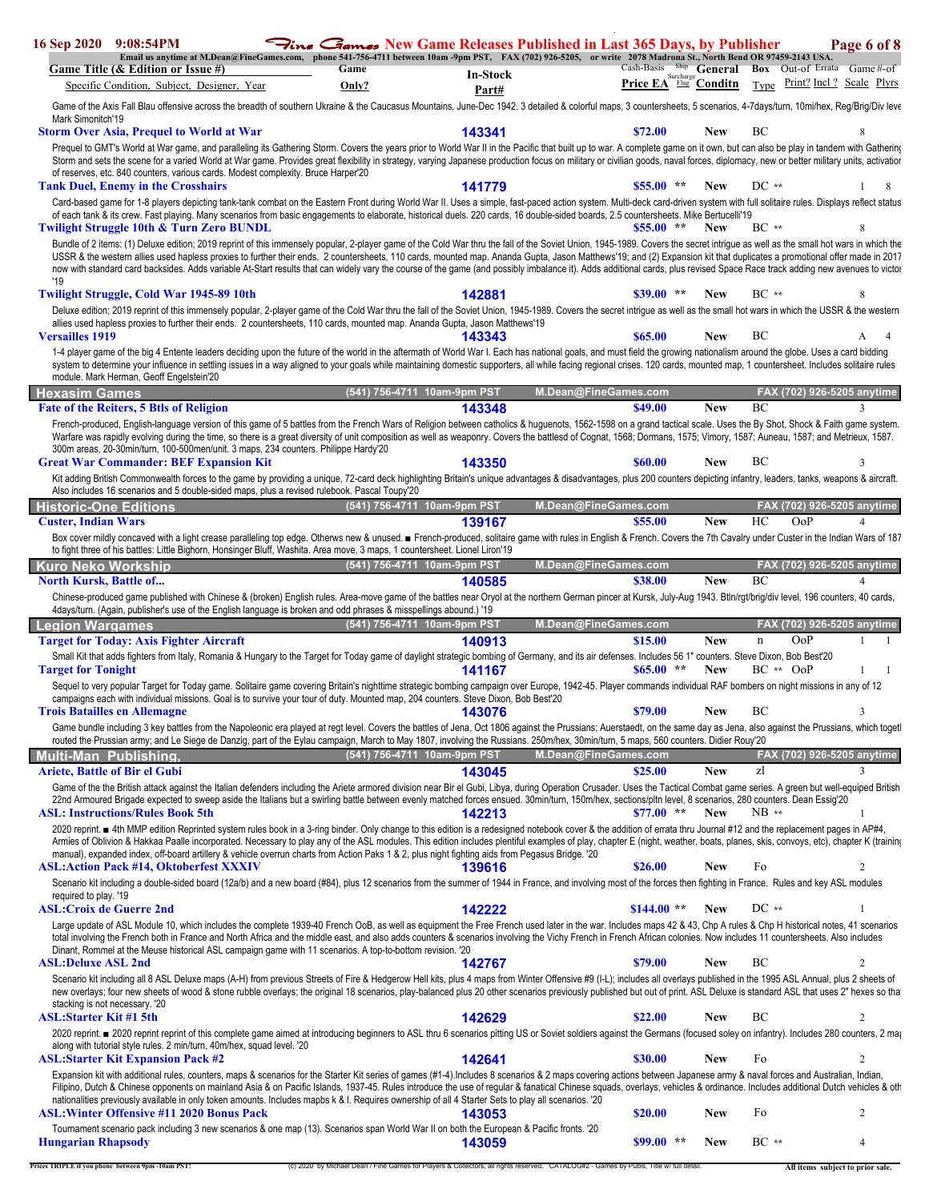|                                | 16 Sep 2020 9:08:54PM<br>Email us anytime at M.Dean@FineGames.com, phone 541-756-4711 between 10am -9pm PST, FAX (702) 926-5205, or write 2078 Madrona St., North Bend OR 97459-2143 USA.                                                                                                                                                                                                                                                                                                                                                                                                                       |                             |                 | Fine Games New Game Releases Published in Last 365 Days, by Publisher |                         |                         |                                   | Page 6 of 8                |
|--------------------------------|-----------------------------------------------------------------------------------------------------------------------------------------------------------------------------------------------------------------------------------------------------------------------------------------------------------------------------------------------------------------------------------------------------------------------------------------------------------------------------------------------------------------------------------------------------------------------------------------------------------------|-----------------------------|-----------------|-----------------------------------------------------------------------|-------------------------|-------------------------|-----------------------------------|----------------------------|
|                                | Game Title (& Edition or Issue #)                                                                                                                                                                                                                                                                                                                                                                                                                                                                                                                                                                               | Game                        | <b>In-Stock</b> |                                                                       | Cash-Basis<br>Surcharge | <sup>Ship</sup> General | <b>Box</b> Out-of Errata Game#-of |                            |
|                                | Specific Condition, Subject, Designer, Year                                                                                                                                                                                                                                                                                                                                                                                                                                                                                                                                                                     | Only?                       | Part#           |                                                                       | Price EA Flag Conditn   |                         | Type                              | Print? Incl? Scale Plyrs   |
|                                | Game of the Axis Fall Blau offensive across the breadth of southern Ukraine & the Caucasus Mountains, June-Dec 1942. 3 detailed & colorful maps, 3 countersheets, 5 scenarios, 4-7days/turn, 10mi/hex, Reg/Brig/Div leve                                                                                                                                                                                                                                                                                                                                                                                        |                             |                 |                                                                       |                         |                         |                                   |                            |
| Mark Simonitch'19              | <b>Storm Over Asia, Prequel to World at War</b>                                                                                                                                                                                                                                                                                                                                                                                                                                                                                                                                                                 |                             | 143341          |                                                                       | \$72.00                 | New                     | BC                                | 8                          |
|                                | Prequel to GMT's World at War game, and paralleling its Gathering Storm. Covers the years prior to World War II in the Pacific that built up to war. A complete game on it own, but can also be play in tandem with Gathering                                                                                                                                                                                                                                                                                                                                                                                   |                             |                 |                                                                       |                         |                         |                                   |                            |
|                                | Storm and sets the scene for a varied World at War game. Provides great flexibility in strategy, varying Japanese production focus on military or civilian goods, naval forces, diplomacy, new or better military units, activ<br>of reserves, etc. 840 counters, various cards. Modest complexity. Bruce Harper'20                                                                                                                                                                                                                                                                                             |                             |                 |                                                                       |                         |                         |                                   |                            |
|                                | <b>Tank Duel, Enemy in the Crosshairs</b>                                                                                                                                                                                                                                                                                                                                                                                                                                                                                                                                                                       |                             | 141779          |                                                                       | $$55.00$ **             | <b>New</b>              | $DC**$                            | 8                          |
|                                | Card-based game for 1-8 players depicting tank-tank combat on the Eastern Front during World War II. Uses a simple, fast-paced action system. Multi-deck card-driven system with full solitaire rules. Displays reflect status<br>of each tank & its crew. Fast playing. Many scenarios from basic engagements to elaborate, historical duels. 220 cards, 16 double-sided boards, 2.5 countersheets. Mike Bertucelli'19                                                                                                                                                                                         |                             |                 |                                                                       |                         |                         |                                   |                            |
|                                | Twilight Struggle 10th & Turn Zero BUNDL                                                                                                                                                                                                                                                                                                                                                                                                                                                                                                                                                                        |                             |                 |                                                                       | $$55.00$ **             | <b>New</b>              | BC **                             |                            |
|                                | Bundle of 2 items: (1) Deluxe edition; 2019 reprint of this immensely popular, 2-player game of the Cold War thru the fall of the Soviet Union, 1945-1989. Covers the secret intrigue as well as the small hot wars in which t<br>USSR & the western allies used hapless proxies to further their ends. 2 countersheets, 110 cards, mounted map. Ananda Gupta, Jason Matthews'19; and (2) Expansion kit that duplicates a promotional offer made in 2017                                                                                                                                                        |                             |                 |                                                                       |                         |                         |                                   |                            |
| '19                            | now with standard card backsides. Adds variable At-Start results that can widely vary the course of the game (and possibly imbalance it). Adds additional cards, plus revised Space Race track adding new avenues to victor                                                                                                                                                                                                                                                                                                                                                                                     |                             |                 |                                                                       |                         |                         |                                   |                            |
|                                | <b>Twilight Struggle, Cold War 1945-89 10th</b>                                                                                                                                                                                                                                                                                                                                                                                                                                                                                                                                                                 |                             | 142881          |                                                                       | $$39.00**$              | <b>New</b>              | $BC**$                            |                            |
| <b>Versailles 1919</b>         | Deluxe edition; 2019 reprint of this immensely popular, 2-player game of the Cold War thru the fall of the Soviet Union, 1945-1989. Covers the secret intrigue as well as the small hot wars in which the USSR & the western<br>allies used hapless proxies to further their ends. 2 countersheets, 110 cards, mounted map. Ananda Gupta, Jason Matthews'19                                                                                                                                                                                                                                                     |                             | 143343          |                                                                       | \$65.00                 | <b>New</b>              | BC                                |                            |
|                                | 1-4 player game of the big 4 Entente leaders deciding upon the future of the world in the aftermath of World War I. Each has national goals, and must field the growing nationalism around the globe. Uses a card bidding<br>system to determine your influence in settling issues in a way aligned to your goals while maintaining domestic supporters, all while facing regional crises. 120 cards, mounted map, 1 countersheet. Includes solitaire rules<br>module. Mark Herman, Geoff Engelstein'20                                                                                                         |                             |                 |                                                                       |                         |                         |                                   |                            |
| Hexasim Games                  |                                                                                                                                                                                                                                                                                                                                                                                                                                                                                                                                                                                                                 | (541) 756-4711 10am-9pm PST |                 | M.Dean@FineGames.com                                                  |                         |                         |                                   | FAX (702) 926-5205 anytime |
|                                | <b>Fate of the Reiters, 5 Btls of Religion</b>                                                                                                                                                                                                                                                                                                                                                                                                                                                                                                                                                                  |                             | 143348          |                                                                       | \$49.00                 | <b>New</b>              | BC                                | $\mathcal{L}$              |
|                                | French-produced, English-language version of this game of 5 battles from the French Wars of Religion between catholics & huguenots, 1562-1598 on a grand tactical scale. Uses the By Shot, Shock & Faith game system.<br>Warfare was rapidly evolving during the time, so there is a great diversity of unit composition as well as weaponry. Covers the battlesd of Cognat, 1568; Dormans, 1575; Vimory, 1587; Auneau, 1587; and Metrieux, 1587.<br>300m areas, 20-30min/turn, 100-500men/unit. 3 maps, 234 counters. Philippe Hardy'20                                                                        |                             |                 |                                                                       |                         |                         |                                   |                            |
|                                | <b>Great War Commander: BEF Expansion Kit</b>                                                                                                                                                                                                                                                                                                                                                                                                                                                                                                                                                                   |                             | 143350          |                                                                       | <b>\$60.00</b>          | <b>New</b>              | BC                                |                            |
|                                | Kit adding British Commonwealth forces to the game by providing a unique, 72-card deck highlighting Britain's unique advantages & disadvantages, plus 200 counters depicting infantry, leaders, tanks, weapons & aircraft.                                                                                                                                                                                                                                                                                                                                                                                      |                             |                 |                                                                       |                         |                         |                                   |                            |
|                                | Also includes 16 scenarios and 5 double-sided maps, plus a revised rulebook. Pascal Toupy'20<br><b>Historic-One Editions</b>                                                                                                                                                                                                                                                                                                                                                                                                                                                                                    | (541) 756-4711 10am-9pm PST |                 | M.Dean@FineGames.com                                                  |                         |                         | FAX (702) 926-5205 anytime        |                            |
| <b>Custer, Indian Wars</b>     |                                                                                                                                                                                                                                                                                                                                                                                                                                                                                                                                                                                                                 |                             | 139167          |                                                                       | \$55.00                 | <b>New</b>              | HС<br>OoP                         | $\overline{4}$             |
|                                | Box cover mildly concaved with a light crease paralleling top edge. Otherws new & unused. French-produced, solitaire game with rules in English & French. Covers the 7th Cavalry under Custer in the Indian Wars of 187<br>to fight three of his battles: Little Bighorn, Honsinger Bluff, Washita. Area move, 3 maps, 1 countersheet. Lionel Liron'19                                                                                                                                                                                                                                                          |                             |                 |                                                                       |                         |                         |                                   |                            |
| Kuro Neko Workship             |                                                                                                                                                                                                                                                                                                                                                                                                                                                                                                                                                                                                                 | (541) 756-4711 10am-9pm PST |                 | M.Dean@FineGames.com                                                  |                         |                         | BC                                | FAX (702) 926-5205 anytime |
| <b>North Kursk, Battle of</b>  | Chinese-produced game published with Chinese & (broken) English rules. Area-move game of the battles near Oryol at the northern German pincer at Kursk, July-Aug 1943. Btln/rgt/brig/div level, 196 counters, 40 cards,                                                                                                                                                                                                                                                                                                                                                                                         |                             | 140585          |                                                                       | \$38.00                 | <b>New</b>              |                                   | $\varDelta$                |
|                                | 4days/turn. (Again, publisher's use of the English language is broken and odd phrases & misspellings abound.) '19                                                                                                                                                                                                                                                                                                                                                                                                                                                                                               |                             |                 |                                                                       |                         |                         |                                   |                            |
| Legion Wargames                | <b>Target for Today: Axis Fighter Aircraft</b>                                                                                                                                                                                                                                                                                                                                                                                                                                                                                                                                                                  | (541) 756-4711 10am-9pm PST | 140913          | M.Dean@FineGames.com                                                  | \$15.00                 | <b>New</b>              | OoP<br>$\mathbf n$                | FAX (702) 926-5205 anytime |
|                                | Small Kit that adds fighters from Italy, Romania & Hungary to the Target for Today game of daylight strategic bombing of Germany, and its air defenses. Includes 56 1" counters. Steve Dixon, Bob Best'20                                                                                                                                                                                                                                                                                                                                                                                                       |                             |                 |                                                                       |                         |                         |                                   |                            |
| <b>Target for Tonight</b>      |                                                                                                                                                                                                                                                                                                                                                                                                                                                                                                                                                                                                                 |                             | 141167          |                                                                       | \$65.00<br>$\star\star$ | <b>New</b>              | $BC ** OoP$                       |                            |
|                                | Sequel to very popular Target for Today game. Solitaire game covering Britain's nighttime strategic bombing campaign over Europe, 1942-45. Player commands individual RAF bombers on night missions in any of 12<br>campaigns each with individual missions. Goal is to survive your tour of duty. Mounted map, 204 counters. Steve Dixon, Bob Best'20                                                                                                                                                                                                                                                          |                             |                 |                                                                       |                         |                         |                                   |                            |
|                                | <b>Trois Batailles en Allemagne</b>                                                                                                                                                                                                                                                                                                                                                                                                                                                                                                                                                                             |                             | 143076          |                                                                       | \$79.00                 | <b>New</b>              | ВC                                | 3                          |
|                                | Game bundle including 3 key battles from the Napoleonic era played at regt level. Covers the battles of Jena, Oct 1806 against the Prussians; Auerstaedt, on the same day as Jena, also against the Prussians, which toget<br>routed the Prussian army; and Le Siege de Danzig, part of the Eylau campaign, March to May 1807, involving the Russians. 250m/hex, 30min/turn, 5 maps, 560 counters. Didier Rouy'20                                                                                                                                                                                               |                             |                 |                                                                       |                         |                         |                                   |                            |
|                                | Multi-Man Publishing,                                                                                                                                                                                                                                                                                                                                                                                                                                                                                                                                                                                           | (541) 756-4711 10am-9pm PST |                 | M.Dean@FineGames.com                                                  |                         |                         |                                   | FAX (702) 926-5205 anytime |
|                                | <b>Ariete, Battle of Bir el Gubi</b>                                                                                                                                                                                                                                                                                                                                                                                                                                                                                                                                                                            |                             | 143045          |                                                                       | \$25.00                 | <b>New</b>              | zl                                | 3                          |
|                                | Game of the the British attack against the Italian defenders including the Ariete armored division near Bir el Gubi, Libya, during Operation Crusader. Uses the Tactical Combat game series. A green but well-equiped British<br>22nd Armoured Brigade expected to sweep aside the Italians but a swirling battle between evenly matched forces ensued. 30min/turn, 150m/hex, sections/pltn level, 8 scenarios, 280 counters. Dean Essig'20                                                                                                                                                                     |                             |                 |                                                                       |                         |                         |                                   |                            |
|                                | <b>ASL: Instructions/Rules Book 5th</b>                                                                                                                                                                                                                                                                                                                                                                                                                                                                                                                                                                         |                             | 142213          |                                                                       | $$77.00$ **             | <b>New</b>              | $NB**$                            | -1                         |
|                                | 2020 reprint. ■ 4th MMP edition Reprinted system rules book in a 3-ring binder. Only change to this edition is a redesigned notebook cover & the addition of errata thru Journal #12 and the replacement pages in AP#4,<br>Armies of Oblivion & Hakkaa Paalle incorporated. Necessary to play any of the ASL modules. This edition includes plentiful examples of play, chapter E (night, weather, boats, planes, skis, convoys, etc), chapter K (trainin<br>manual), expanded index, off-board artillery & vehicle overrun charts from Action Paks 1 & 2, plus night fighting aids from Pegasus Bridge. '20    |                             |                 |                                                                       |                         |                         |                                   |                            |
|                                | <b>ASL:Action Pack #14, Oktoberfest XXXIV</b>                                                                                                                                                                                                                                                                                                                                                                                                                                                                                                                                                                   |                             | 139616          |                                                                       | \$26.00                 | <b>New</b>              | Fo                                | 2                          |
| required to play. '19          | Scenario kit including a double-sided board (12a/b) and a new board (#84), plus 12 scenarios from the summer of 1944 in France, and involving most of the forces then fighting in France. Rules and key ASL modules                                                                                                                                                                                                                                                                                                                                                                                             |                             |                 |                                                                       |                         |                         |                                   |                            |
|                                | <b>ASL:Croix de Guerre 2nd</b>                                                                                                                                                                                                                                                                                                                                                                                                                                                                                                                                                                                  |                             | 142222          |                                                                       | $$144.00**$             | <b>New</b>              | $DC**$                            | $\mathbf{1}$               |
|                                | Large update of ASL Module 10, which includes the complete 1939-40 French OoB, as well as equipment the Free French used later in the war. Includes maps 42 & 43, Chp A rules & Chp H historical notes, 41 scenarios<br>total involving the French both in France and North Africa and the middle east, and also adds counters & scenarios involving the Vichy French in French African colonies. Now includes 11 countersheets. Also includes<br>Dinant, Rommel at the Meuse historical ASL campaign game with 11 scenarios. A top-to-bottom revision. '20                                                     |                             |                 |                                                                       |                         |                         |                                   |                            |
| <b>ASL:Deluxe ASL 2nd</b>      |                                                                                                                                                                                                                                                                                                                                                                                                                                                                                                                                                                                                                 |                             | 142767          |                                                                       | \$79.00                 | <b>New</b>              | BС                                | $\overline{c}$             |
| stacking is not necessary. '20 | Scenario kit including all 8 ASL Deluxe maps (A-H) from previous Streets of Fire & Hedgerow Hell kits, plus 4 maps from Winter Offensive #9 (I-L); includes all overlays published in the 1995 ASL Annual, plus 2 sheets of<br>new overlays; four new sheets of wood & stone rubble overlays; the original 18 scenarios, play-balanced plus 20 other scenarios previously published but out of print. ASL Deluxe is standard ASL that uses 2" hexes so tha                                                                                                                                                      |                             |                 |                                                                       |                         |                         |                                   |                            |
| <b>ASL:Starter Kit #1 5th</b>  | 2020 reprint. ■ 2020 reprint reprint of this complete game aimed at introducing beginners to ASL thru 6 scenarios pitting US or Soviet soldiers against the Germans (focused soley on infantry). Includes 280 counters, 2 ma                                                                                                                                                                                                                                                                                                                                                                                    |                             | 142629          |                                                                       | \$22.00                 | <b>New</b>              | BC                                | 2                          |
|                                | along with tutorial style rules. 2 min/turn, 40m/hex, squad level. '20<br><b>ASL:Starter Kit Expansion Pack #2</b>                                                                                                                                                                                                                                                                                                                                                                                                                                                                                              |                             | 142641          |                                                                       | \$30.00                 | New                     | Fo                                | 2                          |
|                                | Expansion kit with additional rules, counters, maps & scenarios for the Starter Kit series of games (#1-4). Includes 8 scenarios & 2 maps covering actions between Japanese army & naval forces and Australian, Indian,<br>Filipino, Dutch & Chinese opponents on mainland Asia & on Pacific Islands, 1937-45. Rules introduce the use of regular & fanatical Chinese squads, overlays, vehicles & ordinance. Includes additional Dutch vehicles & other<br>nationalities previously available in only token amounts. Includes mapbs k & I. Requires ownership of all 4 Starter Sets to play all scenarios. '20 |                             |                 |                                                                       |                         |                         |                                   |                            |
|                                | <b>ASL: Winter Offensive #11 2020 Bonus Pack</b>                                                                                                                                                                                                                                                                                                                                                                                                                                                                                                                                                                |                             | 143053          |                                                                       | \$20.00                 | New                     | Fo                                | 2                          |
| <b>Hungarian Rhapsody</b>      | Tournament scenario pack including 3 new scenarios & one map (13). Scenarios span World War II on both the European & Pacific fronts. '20                                                                                                                                                                                                                                                                                                                                                                                                                                                                       |                             | 143059          |                                                                       | $$99.00$ **             | <b>New</b>              | $BC**$                            | $\overline{4}$             |

L.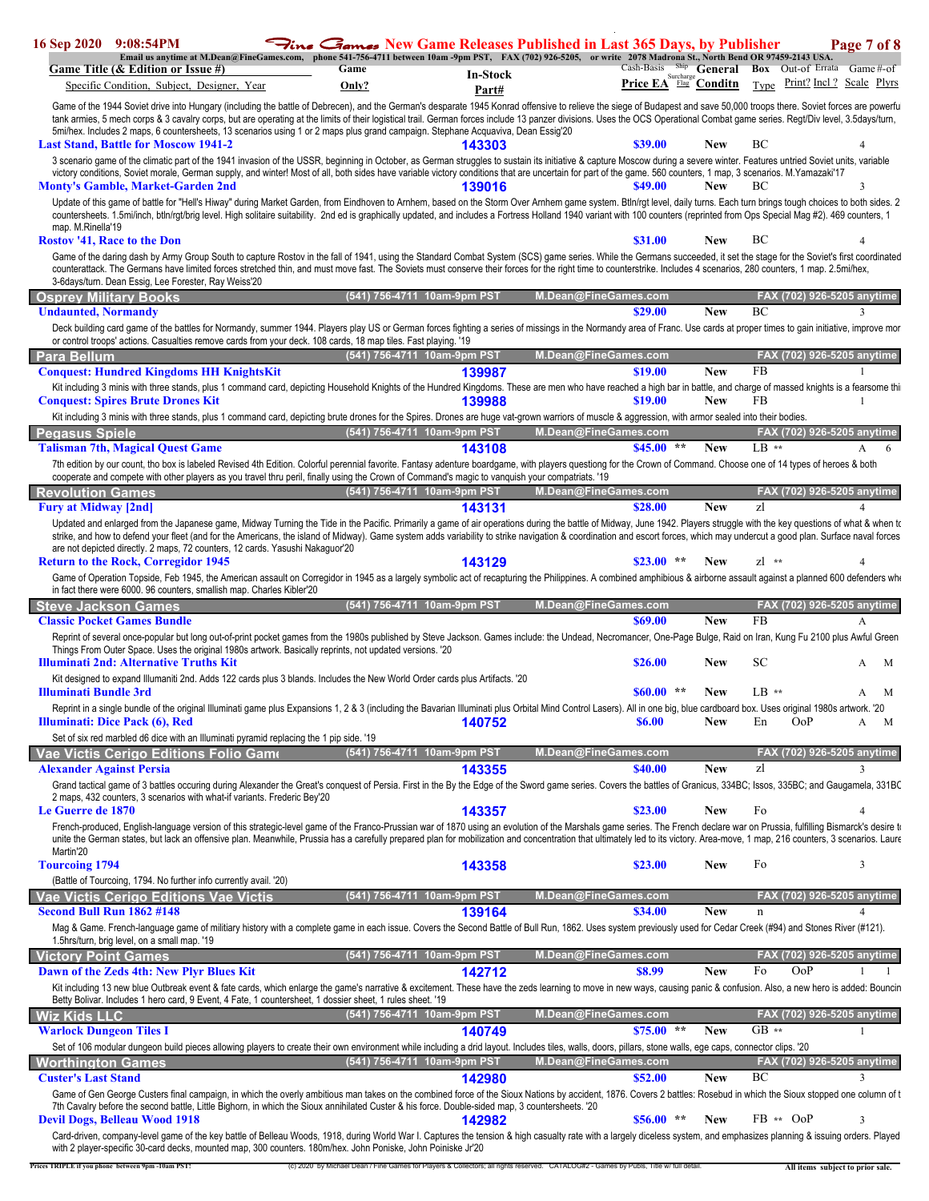| Game Title (& Edition or Issue #)<br>Specific Condition, Subject, Designer, Year                                                                                                                                                                                                                                                                                                                                                                                                                                                                                                                                                                                                                                                                                                                                                                                                                                                                           | <b>Fine Games</b> New Game Releases Published in Last 365 Days, by Publisher<br>Email us anytime at M.Dean@FineGames.com, phone 541-756-4711 between 10am-9pm PST, FAX (702) 926-5205, or write 2078 Madrona St., North Bend OR 97459-2143 USA.<br>Game<br><b>In-Stock</b><br>Only?<br>Part# |                      | Price EA <sup>Surcharge</sup> Conditn |                          | Cash-Basis Ship General Box Out-of Errata Game#-of<br>Type Print? Incl? Scale Plyrs | Page 7 of 8             |
|------------------------------------------------------------------------------------------------------------------------------------------------------------------------------------------------------------------------------------------------------------------------------------------------------------------------------------------------------------------------------------------------------------------------------------------------------------------------------------------------------------------------------------------------------------------------------------------------------------------------------------------------------------------------------------------------------------------------------------------------------------------------------------------------------------------------------------------------------------------------------------------------------------------------------------------------------------|----------------------------------------------------------------------------------------------------------------------------------------------------------------------------------------------------------------------------------------------------------------------------------------------|----------------------|---------------------------------------|--------------------------|-------------------------------------------------------------------------------------|-------------------------|
| Game of the 1944 Soviet drive into Hungary (including the battle of Debrecen), and the German's desparate 1945 Konrad offensive to relieve the siege of Budapest and save 50,000 troops there. Soviet forces are powerfu<br>tank armies, 5 mech corps & 3 cavalry corps, but are operating at the limits of their logistical trail. German forces include 13 panzer divisions. Uses the OCS Operational Combat game series. Regt/Div level, 3.5days/turn,<br>5mi/hex. Includes 2 maps, 6 countersheets, 13 scenarios using 1 or 2 maps plus grand campaign. Stephane Acquaviva, Dean Essig'20<br><b>Last Stand, Battle for Moscow 1941-2</b>                                                                                                                                                                                                                                                                                                               | 143303                                                                                                                                                                                                                                                                                       |                      | \$39.00                               | New                      | BC                                                                                  |                         |
| 3 scenario game of the climatic part of the 1941 invasion of the USSR, beginning in October, as German struggles to sustain its initiative & capture Moscow during a severe winter. Features untried Soviet units, variable<br>victory conditions, Soviet morale, German supply, and winter! Most of all, both sides have variable victory conditions that are uncertain for part of the game. 560 counters, 1 map, 3 scenarios. M. Yamazaki'17<br><b>Monty's Gamble, Market-Garden 2nd</b><br>Update of this game of battle for "Hell's Hiway" during Market Garden, from Eindhoven to Arnhem, based on the Storm Over Arnhem game system. Btln/rgt level, daily turns. Each turn brings tough choices to both sides. 2<br>countersheets. 1.5mi/inch, btln/rqt/briq level. High solitaire suitability. 2nd ed is graphically updated, and includes a Fortress Holland 1940 variant with 100 counters (reprinted from Ops Special Maq #2). 469 counters, 1 | 139016                                                                                                                                                                                                                                                                                       |                      | \$49.00                               | New                      | BС                                                                                  | $\mathbf{3}$            |
| map. M.Rinella'19<br><b>Rostov '41, Race to the Don</b><br>Game of the daring dash by Army Group South to capture Rostov in the fall of 1941, using the Standard Combat System (SCS) game series. While the Germans succeeded, it set the stage for the Soviet's first coordinated<br>counterattack. The Germans have limited forces stretched thin, and must move fast. The Soviets must conserve their forces for the right time to counterstrike. Includes 4 scenarios, 280 counters, 1 map. 2.5mi/hex,<br>3-6days/turn. Dean Essig, Lee Forester, Ray Weiss'20                                                                                                                                                                                                                                                                                                                                                                                         |                                                                                                                                                                                                                                                                                              |                      | \$31.00                               | New                      | BС                                                                                  |                         |
| <b>Osprey Military Books</b><br><b>Undaunted, Normandy</b>                                                                                                                                                                                                                                                                                                                                                                                                                                                                                                                                                                                                                                                                                                                                                                                                                                                                                                 | (541) 756-4711 10am-9pm PST                                                                                                                                                                                                                                                                  | M.Dean@FineGames.com | \$29.00                               | <b>New</b>               | FAX (702) 926-5205 anytime<br>BC                                                    | 3                       |
| Deck building card game of the battles for Normandy, summer 1944. Players play US or German forces fighting a series of missings in the Normandy area of Franc. Use cards at proper times to gain initiative, improve mor<br>or control troops' actions. Casualties remove cards from your deck. 108 cards, 18 map tiles. Fast playing. '19<br><b>Para Bellum</b>                                                                                                                                                                                                                                                                                                                                                                                                                                                                                                                                                                                          | (541) 756-4711 10am-9pm PST                                                                                                                                                                                                                                                                  | M.Dean@FineGames.com |                                       |                          | FAX (702) 926-5205 anytime                                                          |                         |
| <b>Conquest: Hundred Kingdoms HH KnightsKit</b><br>Kit including 3 minis with three stands, plus 1 command card, depicting Household Knights of the Hundred Kingdoms. These are men who have reached a high bar in battle, and charge of massed knights is a fearsome thi<br><b>Conquest: Spires Brute Drones Kit</b>                                                                                                                                                                                                                                                                                                                                                                                                                                                                                                                                                                                                                                      | 139987<br>139988                                                                                                                                                                                                                                                                             |                      | \$19.00<br>\$19.00                    | <b>New</b><br><b>New</b> | <b>FB</b><br>FB                                                                     | $\mathbf{1}$            |
| Kit including 3 minis with three stands, plus 1 command card, depicting brute drones for the Spires. Drones are huge vat-grown warriors of muscle & aggression, with armor sealed into their bodies.                                                                                                                                                                                                                                                                                                                                                                                                                                                                                                                                                                                                                                                                                                                                                       | (541) 756-4711 10am-9pm PST                                                                                                                                                                                                                                                                  |                      |                                       |                          | FAX (702) 926-5205 anytime                                                          |                         |
| <b>Pegasus Spiele</b><br><b>Talisman 7th, Magical Quest Game</b>                                                                                                                                                                                                                                                                                                                                                                                                                                                                                                                                                                                                                                                                                                                                                                                                                                                                                           | 143108                                                                                                                                                                                                                                                                                       | M.Dean@FineGames.com | $$45.00$ **                           | <b>New</b>               | $LB$ **                                                                             | A<br>6                  |
| 7th edition by our count, tho box is labeled Revised 4th Edition. Colorful perennial favorite. Fantasy adenture boardgame, with players questiong for the Crown of Command. Choose one of 14 types of heroes & both<br>cooperate and compete with other players as you travel thru peril, finally using the Crown of Command's magic to vanguish your compatriats. '19                                                                                                                                                                                                                                                                                                                                                                                                                                                                                                                                                                                     |                                                                                                                                                                                                                                                                                              |                      |                                       |                          |                                                                                     |                         |
| <b>Revolution Games</b>                                                                                                                                                                                                                                                                                                                                                                                                                                                                                                                                                                                                                                                                                                                                                                                                                                                                                                                                    | (541) 756-4711 10am-9pm PST                                                                                                                                                                                                                                                                  | M.Dean@FineGames.com |                                       |                          | FAX (702) 926-5205 anytime                                                          |                         |
| <b>Fury at Midway [2nd]</b><br>Updated and enlarged from the Japanese game, Midway Turning the Tide in the Pacific. Primarily a game of air operations during the battle of Midway, June 1942. Players struggle with the key questions of what & when to<br>strike, and how to defend your fleet (and for the Americans, the island of Midway). Game system adds variability to strike navigation & coordination and escort forces, which may undercut a good plan. Surface naval forces                                                                                                                                                                                                                                                                                                                                                                                                                                                                   | 143131                                                                                                                                                                                                                                                                                       |                      | \$28.00                               | <b>New</b>               | zl                                                                                  | $\overline{\mathbf{4}}$ |
| are not depicted directly. 2 maps, 72 counters, 12 cards. Yasushi Nakaguor'20<br><b>Return to the Rock, Corregidor 1945</b>                                                                                                                                                                                                                                                                                                                                                                                                                                                                                                                                                                                                                                                                                                                                                                                                                                | 143129                                                                                                                                                                                                                                                                                       |                      | \$23.00                               | New                      | $z^{1***}$                                                                          |                         |
| Game of Operation Topside, Feb 1945, the American assault on Corregidor in 1945 as a largely symbolic act of recapturing the Philippines. A combined amphibious & airborne assault against a planned 600 defenders who<br>in fact there were 6000. 96 counters, smallish map. Charles Kibler'20                                                                                                                                                                                                                                                                                                                                                                                                                                                                                                                                                                                                                                                            |                                                                                                                                                                                                                                                                                              |                      |                                       |                          |                                                                                     |                         |
|                                                                                                                                                                                                                                                                                                                                                                                                                                                                                                                                                                                                                                                                                                                                                                                                                                                                                                                                                            |                                                                                                                                                                                                                                                                                              |                      |                                       |                          |                                                                                     |                         |
| <b>Steve Jackson Games</b>                                                                                                                                                                                                                                                                                                                                                                                                                                                                                                                                                                                                                                                                                                                                                                                                                                                                                                                                 | (541) 756-4711 10am-9pm PST                                                                                                                                                                                                                                                                  | M.Dean@FineGames.com |                                       |                          | FAX (702) 926-5205 anytime                                                          |                         |
| <b>Classic Pocket Games Bundle</b>                                                                                                                                                                                                                                                                                                                                                                                                                                                                                                                                                                                                                                                                                                                                                                                                                                                                                                                         |                                                                                                                                                                                                                                                                                              |                      | \$69.00                               | <b>New</b>               | FB                                                                                  | A                       |
| Reprint of several once-popular but long out-of-print pocket games from the 1980s published by Steve Jackson. Games include: the Undead, Necromancer, One-Page Bulge, Raid on Iran, Kung Fu 2100 plus Awful Green<br>Things From Outer Space. Uses the original 1980s artwork. Basically reprints, not updated versions. '20<br>Illuminati 2nd: Alternative Truths Kit                                                                                                                                                                                                                                                                                                                                                                                                                                                                                                                                                                                     |                                                                                                                                                                                                                                                                                              |                      | \$26.00                               | <b>New</b>               | SC                                                                                  | M<br>A                  |
| Kit designed to expand Illumaniti 2nd. Adds 122 cards plus 3 blands. Includes the New World Order cards plus Artifacts. '20<br>Illuminati Bundle 3rd                                                                                                                                                                                                                                                                                                                                                                                                                                                                                                                                                                                                                                                                                                                                                                                                       |                                                                                                                                                                                                                                                                                              |                      | $$60.00$ **                           | <b>New</b>               | $LB$ **                                                                             | M<br>A                  |
| Reprint in a single bundle of the original Illuminati game plus Expansions 1, 2 & 3 (including the Bavarian Illuminati plus Orbital Mind Control Lasers). All in one big, blue cardboard box. Uses original 1980s artwork. '20<br>Illuminati: Dice Pack (6), Red                                                                                                                                                                                                                                                                                                                                                                                                                                                                                                                                                                                                                                                                                           | 140752                                                                                                                                                                                                                                                                                       |                      | <b>\$6.00</b>                         | New                      | En<br><b>OoP</b>                                                                    | A<br>M                  |
| Set of six red marbled d6 dice with an Illuminati pyramid replacing the 1 pip side. '19                                                                                                                                                                                                                                                                                                                                                                                                                                                                                                                                                                                                                                                                                                                                                                                                                                                                    |                                                                                                                                                                                                                                                                                              |                      |                                       |                          |                                                                                     |                         |
| Vae Victis Cerigo Editions Folio Game<br><b>Alexander Against Persia</b>                                                                                                                                                                                                                                                                                                                                                                                                                                                                                                                                                                                                                                                                                                                                                                                                                                                                                   | (541) 756-4711 10am-9pm PST<br>143355                                                                                                                                                                                                                                                        | M.Dean@FineGames.com | \$40.00                               | New                      | FAX (702) 926-5205 anytime<br>zl                                                    | 3                       |
| Grand tactical game of 3 battles occuring during Alexander the Great's conquest of Persia. First in the By the Edge of the Sword game series. Covers the battles of Granicus, 334BC; Issos, 335BC; and Gaugamela, 331BC<br>2 maps, 432 counters, 3 scenarios with what-if variants. Frederic Bey'20                                                                                                                                                                                                                                                                                                                                                                                                                                                                                                                                                                                                                                                        |                                                                                                                                                                                                                                                                                              |                      |                                       |                          |                                                                                     |                         |
| Le Guerre de 1870                                                                                                                                                                                                                                                                                                                                                                                                                                                                                                                                                                                                                                                                                                                                                                                                                                                                                                                                          | 143357                                                                                                                                                                                                                                                                                       |                      | \$23.00                               | New                      | Fo                                                                                  | $\overline{4}$          |
| French-produced, English-language version of this strategic-level game of the Franco-Prussian war of 1870 using an evolution of the Marshals game series. The French declare war on Prussia, fulfilling Bismarck's desire to<br>unite the German states, but lack an offensive plan. Meanwhile, Prussia has a carefully prepared plan for mobilization and concentration that ultimately led to its victory. Area-move, 1 map, 216 counters, 3 scenarios. Laur<br>Martin'20                                                                                                                                                                                                                                                                                                                                                                                                                                                                                |                                                                                                                                                                                                                                                                                              |                      |                                       |                          |                                                                                     |                         |
| <b>Tourcoing 1794</b><br>(Battle of Tourcoing, 1794. No further info currently avail. '20)                                                                                                                                                                                                                                                                                                                                                                                                                                                                                                                                                                                                                                                                                                                                                                                                                                                                 | 143358                                                                                                                                                                                                                                                                                       |                      | \$23.00                               | New                      | Fo                                                                                  | 3                       |
| Vae Victis Cerigo Editions Vae Victis                                                                                                                                                                                                                                                                                                                                                                                                                                                                                                                                                                                                                                                                                                                                                                                                                                                                                                                      | (541) 756-4711 10am-9pm PST                                                                                                                                                                                                                                                                  | M.Dean@FineGames.com |                                       |                          | FAX (702) 926-5205 anytime                                                          |                         |
| Second Bull Run 1862 #148<br>Mag & Game. French-language game of militiary history with a complete game in each issue. Covers the Second Battle of Bull Run, 1862. Uses system previously used for Cedar Creek (#94) and Stones River (#121).                                                                                                                                                                                                                                                                                                                                                                                                                                                                                                                                                                                                                                                                                                              | 139164                                                                                                                                                                                                                                                                                       |                      | \$34.00                               | <b>New</b>               | $\mathbf n$                                                                         | $\overline{4}$          |
| 1.5hrs/turn, brig level, on a small map. '19<br><b>Victory Point Games</b>                                                                                                                                                                                                                                                                                                                                                                                                                                                                                                                                                                                                                                                                                                                                                                                                                                                                                 | (541) 756-4711 10am-9pm PST                                                                                                                                                                                                                                                                  | M.Dean@FineGames.com |                                       |                          | FAX (702) 926-5205 anytime                                                          |                         |
| Dawn of the Zeds 4th: New Plyr Blues Kit                                                                                                                                                                                                                                                                                                                                                                                                                                                                                                                                                                                                                                                                                                                                                                                                                                                                                                                   | 142712                                                                                                                                                                                                                                                                                       |                      | \$8.99                                | New                      | Fo<br>OoP                                                                           |                         |
| Kit including 13 new blue Outbreak event & fate cards, which enlarge the game's narrative & excitement. These have the zeds learning to move in new ways, causing panic & confusion. Also, a new hero is added: Bouncin<br>Betty Bolivar. Includes 1 hero card, 9 Event, 4 Fate, 1 countersheet, 1 dossier sheet, 1 rules sheet. '19                                                                                                                                                                                                                                                                                                                                                                                                                                                                                                                                                                                                                       |                                                                                                                                                                                                                                                                                              |                      |                                       |                          |                                                                                     |                         |
| <b>Wiz Kids LLC</b>                                                                                                                                                                                                                                                                                                                                                                                                                                                                                                                                                                                                                                                                                                                                                                                                                                                                                                                                        | (541) 756-4711 10am-9pm PST                                                                                                                                                                                                                                                                  | M.Dean@FineGames.com |                                       |                          | FAX (702) 926-5205 anytime                                                          |                         |
| <b>Warlock Dungeon Tiles I</b>                                                                                                                                                                                                                                                                                                                                                                                                                                                                                                                                                                                                                                                                                                                                                                                                                                                                                                                             | 140749                                                                                                                                                                                                                                                                                       |                      | $\star\star$<br>\$75.00               | <b>New</b>               | $GB**$                                                                              |                         |
| Set of 106 modular dungeon build pieces allowing players to create their own environment while including a drid layout. Includes tiles, walls, doors, pillars, stone walls, ege caps, connector clips. '20                                                                                                                                                                                                                                                                                                                                                                                                                                                                                                                                                                                                                                                                                                                                                 | (541) 756-4711 10am-9pm PST                                                                                                                                                                                                                                                                  | M.Dean@FineGames.com |                                       |                          | FAX (702) 926-5205 anytime                                                          |                         |
| <b>Worthington Games</b><br><b>Custer's Last Stand</b>                                                                                                                                                                                                                                                                                                                                                                                                                                                                                                                                                                                                                                                                                                                                                                                                                                                                                                     | 142980                                                                                                                                                                                                                                                                                       |                      | \$52.00                               | New                      | BС                                                                                  | 3                       |
| Game of Gen George Custers final campaign, in which the overly ambitious man takes on the combined force of the Sioux Nations by accident, 1876. Covers 2 battles: Rosebud in which the Sioux stopped one column of t<br>7th Cavalry before the second battle, Little Bighorn, in which the Sioux annihilated Custer & his force. Double-sided map, 3 countersheets. '20<br><b>Devil Dogs, Belleau Wood 1918</b>                                                                                                                                                                                                                                                                                                                                                                                                                                                                                                                                           | 142982                                                                                                                                                                                                                                                                                       |                      | $$56.00$ **                           | <b>New</b>               | FB ** OoP                                                                           | 3                       |